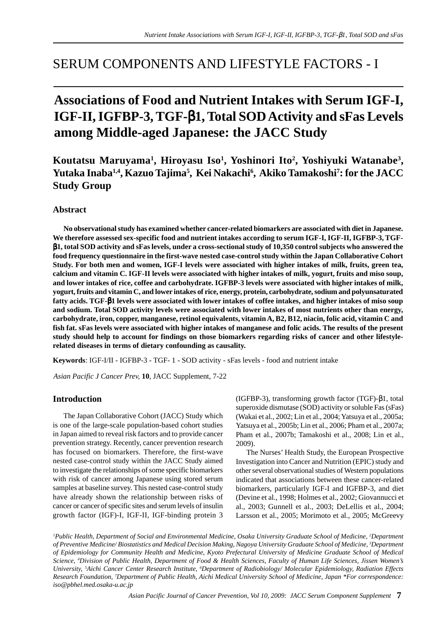## SERUM COMPONENTS AND LIFESTYLE FACTORS - I

# **Associations of Food and Nutrient Intakes with Serum IGF-I, IGF-II, IGFBP-3, TGF-**β**1, Total SOD Activity and sFas Levels among Middle-aged Japanese: the JACC Study**

**Koutatsu Maruyama1 , Hiroyasu Iso1 , Yoshinori Ito2 , Yoshiyuki Watanabe3 , Yutaka Inaba1,4, Kazuo Tajima5 , Kei Nakachi6 , Akiko Tamakoshi7 : for the JACC Study Group**

## **Abstract**

**No observational study has examined whether cancer-related biomarkers are associated with diet in Japanese.** We therefore assessed sex-specific food and nutrient intakes according to serum IGF-I, IGF-II, IGFBP-3, TGFβ**1, total SOD activity and sFas levels, under a cross-sectional study of 10,350 control subjects who answered the food frequency questionnaire in the first-wave nested case-control study within the Japan Collaborative Cohort Study. For both men and women, IGF-I levels were associated with higher intakes of milk, fruits, green tea, calcium and vitamin C. IGF-II levels were associated with higher intakes of milk, yogurt, fruits and miso soup, and lower intakes of rice, coffee and carbohydrate. IGFBP-3 levels were associated with higher intakes of milk, yogurt, fruits and vitamin C, and lower intakes of rice, energy, protein, carbohydrate, sodium and polyunsaturated fatty acids. TGF-**β**1 levels were associated with lower intakes of coffee intakes, and higher intakes of miso soup and sodium. Total SOD activity levels were associated with lower intakes of most nutrients other than energy, carbohydrate, iron, copper, manganese, retinol equivalents, vitamin A, B2, B12, niacin, folic acid, vitamin C and fish fat. sFas levels were associated with higher intakes of manganese and folic acids. The results of the present study should help to account for findings on those biomarkers regarding risks of cancer and other lifestylerelated diseases in terms of dietary confounding as causality.**

**Keywords**: IGF-I/II - IGFBP-3 - TGF- 1 - SOD activity - sFas levels - food and nutrient intake

*Asian Pacific J Cancer Prev,* **10**, JACC Supplement, 7-22

#### **Introduction**

The Japan Collaborative Cohort (JACC) Study which is one of the large-scale population-based cohort studies in Japan aimed to reveal risk factors and to provide cancer prevention strategy. Recently, cancer prevention research has focused on biomarkers. Therefore, the first-wave nested case-control study within the JACC Study aimed to investigate the relationships of some specific biomarkers with risk of cancer among Japanese using stored serum samples at baseline survey. This nested case-control study have already shown the relationship between risks of cancer or cancer of specific sites and serum levels of insulin growth factor (IGF)-I, IGF-II, IGF-binding protein 3 (IGFBP-3), transforming growth factor (TGF)-β1, total superoxide dismutase (SOD) activity or soluble Fas (sFas) (Wakai et al., 2002; Lin et al., 2004; Yatsuya et al., 2005a; Yatsuya et al., 2005b; Lin et al., 2006; Pham et al., 2007a; Pham et al., 2007b; Tamakoshi et al., 2008; Lin et al., 2009).

The Nurses' Health Study, the European Prospective Investigation into Cancer and Nutrition (EPIC) study and other several observational studies of Western populations indicated that associations between these cancer-related biomarkers, particularly IGF-I and IGFBP-3, and diet (Devine et al., 1998; Holmes et al., 2002; Giovannucci et al., 2003; Gunnell et al., 2003; DeLellis et al., 2004; Larsson et al., 2005; Morimoto et al., 2005; McGreevy

*1 Public Health, Department of Social and Environmental Medicine, Osaka University Graduate School of Medicine, 2 Department of Preventive Medicine/ Biostatistics and Medical Decision Making, Nagoya University Graduate School of Medicine, 3 Department of Epidemiology for Community Health and Medicine, Kyoto Prefectural University of Medicine Graduate School of Medical Science, 4 Division of Public Health, Department of Food & Health Sciences, Faculty of Human Life Sciences, Jissen Women's University, 5 Aichi Cancer Center Research Institute, 6 Department of Radiobiology/ Molecular Epidemiology, Radiation Effects Research Foundation, 7 Department of Public Health, Aichi Medical University School of Medicine, Japan \*For correspondence: iso@pbhel.med.osaka-u.ac.jp*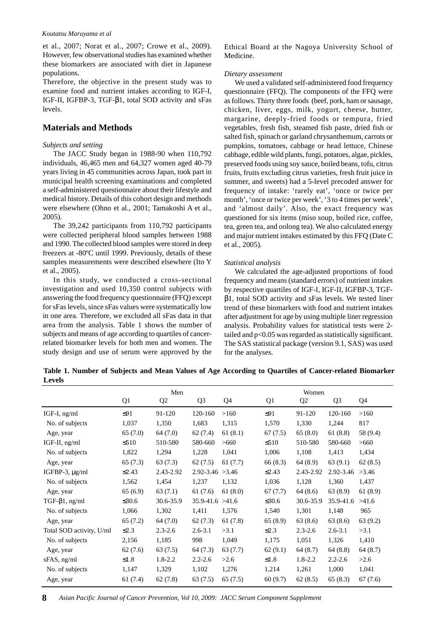et al., 2007; Norat et al., 2007; Crowe et al., 2009). However, few observational studies has examined whether these biomarkers are associated with diet in Japanese populations.

Therefore, the objective in the present study was to examine food and nutrient intakes according to IGF-I, IGF-II, IGFBP-3, TGF-β1, total SOD activity and sFas levels.

## **Materials and Methods**

#### *Subjects and setting*

The JACC Study began in 1988-90 when 110,792 individuals, 46,465 men and 64,327 women aged 40-79 years living in 45 communities across Japan, took part in municipal health screening examinations and completed a self-administered questionnaire about their lifestyle and medical history. Details of this cohort design and methods were elsewhere (Ohno et al., 2001; Tamakoshi A et al., 2005).

The 39,242 participants from 110,792 participants were collected peripheral blood samples between 1988 and 1990. The collected blood samples were stored in deep freezers at -80ºC until 1999. Previously, details of these samples measurements were described elsewhere (Ito Y et al., 2005).

In this study, we conducted a cross-sectional investigation and used 10,350 control subjects with answering the food frequency questionnaire (FFQ) except for sFas levels, since sFas values were systematically low in one area. Therefore, we excluded all sFas data in that area from the analysis. Table 1 shows the number of subjects and means of age according to quartiles of cancerrelated biomarker levels for both men and women. The study design and use of serum were approved by the

Ethical Board at the Nagoya University School of Medicine.

#### *Dietary assessment*

We used a validated self-administered food frequency questionnaire (FFQ). The components of the FFQ were as follows. Thirty three foods (beef, pork, ham or sausage, chicken, liver, eggs, milk, yogurt, cheese, butter, margarine, deeply-fried foods or tempura, fried vegetables, fresh fish, steamed fish paste, dried fish or salted fish, spinach or garland chrysanthemum, carrots or pumpkins, tomatoes, cabbage or head lettuce, Chinese cabbage, edible wild plants, fungi, potatoes, algae, pickles, preserved foods using soy sauce, boiled beans, tofu, citrus fruits, fruits excluding citrus varieties, fresh fruit juice in summer, and sweets) had a 5-level precoded answer for frequency of intake: 'rarely eat', 'once or twice per month', 'once or twice per week', '3 to 4 times per week', and 'almost daily'. Also, the exact frequency was questioned for six items (miso soup, boiled rice, coffee, tea, green tea, and oolong tea). We also calculated energy and major nutrient intakes estimated by this FFQ (Date C et al., 2005).

#### *Statistical analysis*

We calculated the age-adjusted proportions of food frequency and means (standard errors) of nutrient intakes by respective quartiles of IGF-I, IGF-II, IGFBP-3, TGFβ1, total SOD activity and sFas levels. We tested liner trend of these biomarkers with food and nutrient intakes after adjustment for age by using multiple liner regression analysis. Probability values for statistical tests were 2 tailed and p<0.05 was regarded as statistically significant. The SAS statistical package (version 9.1, SAS) was used for the analyses.

| Table 1. Number of Subjects and Mean Values of Age According to Quartiles of Cancer-related Biomarker |  |  |  |  |
|-------------------------------------------------------------------------------------------------------|--|--|--|--|
| <b>Levels</b>                                                                                         |  |  |  |  |

|                          |             | Men            |                      |         |                | Women          |                |          |
|--------------------------|-------------|----------------|----------------------|---------|----------------|----------------|----------------|----------|
|                          | Q1          | Q <sub>2</sub> | Q <sub>3</sub>       | Q4      | Q <sub>1</sub> | Q <sub>2</sub> | Q <sub>3</sub> | Q4       |
| IGF-I, ng/ml             | $\leq$ 91   | 91-120         | 120-160              | >160    | $\leq$ 91      | 91-120         | 120-160        | >160     |
| No. of subjects          | 1,037       | 1,350          | 1,683                | 1,315   | 1,570          | 1,330          | 1,244          | 817      |
| Age, year                | 65(7.0)     | 64 (7.0)       | 62(7.4)              | 61(8.1) | 67(7.5)        | 65(8.0)        | 61(8.8)        | 58 (9.4) |
| IGF-II, ng/ml            | $\leq 510$  | 510-580        | 580-660              | >660    | $\leq 510$     | 510-580        | 580-660        | >660     |
| No. of subjects          | 1,822       | 1,294          | 1,228                | 1,041   | 1,006          | 1,108          | 1,413          | 1,434    |
| Age, year                | 65(7.3)     | 63(7.3)        | 62(7.5)              | 61(7.7) | 66 (8.3)       | 64(8.9)        | 63(9.1)        | 62(8.5)  |
| IGFBP-3, $\mu$ g/ml      | $\leq$ 2.43 | 2.43-2.92      | $2.92 - 3.46 > 3.46$ |         | $\leq$ 2.43    | 2.43-2.92      | 2.92-3.46      | >3.46    |
| No. of subjects          | 1,562       | 1,454          | 1,237                | 1,132   | 1,036          | 1,128          | 1,360          | 1,437    |
| Age, year                | 65(6.9)     | 63(7.1)        | 61(7.6)              | 61(8.0) | 67(7.7)        | 64(8.6)        | 63(8.9)        | 61(8.9)  |
| $TGF-\beta1, ng/ml$      | $\leq 30.6$ | 30.6-35.9      | $35.9 - 41.6 > 41.6$ |         | $\leq 30.6$    | 30.6-35.9      | 35.9-41.6      | >41.6    |
| No. of subjects          | 1,066       | 1,302          | 1,411                | 1,576   | 1,540          | 1,301          | 1,148          | 965      |
| Age, year                | 65(7.2)     | 64 (7.0)       | 62(7.3)              | 61(7.8) | 65(8.9)        | 63(8.6)        | 63(8.6)        | 63(9.2)  |
| Total SOD activity, U/ml | $\leq$ 2.3  | $2.3 - 2.6$    | $2.6 - 3.1$          | >3.1    | $\leq$ 2.3     | $2.3 - 2.6$    | $2.6 - 3.1$    | >3.1     |
| No. of subjects          | 2,156       | 1,185          | 998                  | 1,049   | 1,175          | 1,051          | 1,326          | 1,410    |
| Age, year                | 62(7.6)     | 63(7.5)        | 64 (7.3)             | 63(7.7) | 62(9.1)        | 64(8.7)        | 64(8.8)        | 64(8.7)  |
| sFAS, ng/ml              | $\leq 1.8$  | $1.8 - 2.2$    | $2.2 - 2.6$          | >2.6    | $\leq 1.8$     | $1.8 - 2.2$    | $2.2 - 2.6$    | >2.6     |
| No. of subjects          | 1,147       | 1,329          | 1,102                | 1,276   | 1,214          | 1,261          | 1,000          | 1,041    |
| Age, year                | 61(7.4)     | 62(7.8)        | 63(7.5)              | 65(7.5) | 60(9.7)        | 62(8.5)        | 65(8.3)        | 67(7.6)  |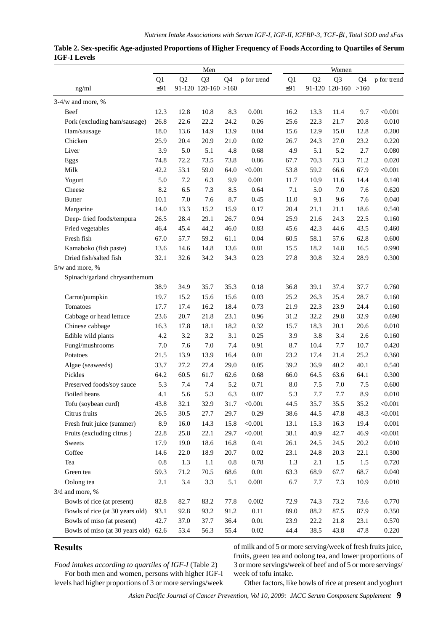|                                      |           |                | Men                   |         |             | Women     |                |                     |      |             |
|--------------------------------------|-----------|----------------|-----------------------|---------|-------------|-----------|----------------|---------------------|------|-------------|
|                                      | Q1        | Q <sub>2</sub> | Q <sub>3</sub>        | Q4      | p for trend | Q1        | Q <sub>2</sub> | Q <sub>3</sub>      | Q4   | p for trend |
| ng/ml                                | $\leq$ 91 |                | $91-120$ 120-160 >160 |         |             | $\leq 91$ |                | 91-120 120-160 >160 |      |             |
| $3-4/w$ and more, %                  |           |                |                       |         |             |           |                |                     |      |             |
| Beef                                 | 12.3      | 12.8           | 10.8                  | 8.3     | 0.001       | 16.2      | 13.3           | 11.4                | 9.7  | < 0.001     |
| Pork (excluding ham/sausage)         | 26.8      | 22.6           | 22.2                  | 24.2    | 0.26        | 25.6      | 22.3           | 21.7                | 20.8 | 0.010       |
| Ham/sausage                          | 18.0      | 13.6           | 14.9                  | 13.9    | 0.04        | 15.6      | 12.9           | 15.0                | 12.8 | 0.200       |
| Chicken                              | 25.9      | 20.4           | 20.9                  | 21.0    | 0.02        | 26.7      | 24.3           | 27.0                | 23.2 | 0.220       |
| Liver                                | 3.9       | 5.0            | 5.1                   | 4.8     | 0.68        | 4.9       | 5.1            | 5.2                 | 2.7  | 0.080       |
| Eggs                                 | 74.8      | 72.2           | 73.5                  | 73.8    | 0.86        | 67.7      | 70.3           | 73.3                | 71.2 | 0.020       |
| Milk                                 | 42.2      | 53.1           | 59.0                  | 64.0    | < 0.001     | 53.8      | 59.2           | 66.6                | 67.9 | < 0.001     |
| Yogurt                               | 5.0       | 7.2            | 6.3                   | 9.9     | 0.001       | 11.7      | 10.9           | 11.6                | 14.4 | 0.140       |
| Cheese                               | 8.2       | 6.5            | 7.3                   | 8.5     | 0.64        | 7.1       | 5.0            | 7.0                 | 7.6  | 0.620       |
| <b>Butter</b>                        | 10.1      | 7.0            | 7.6                   | 8.7     | 0.45        | 11.0      | 9.1            | 9.6                 | 7.6  | 0.040       |
| Margarine                            | 14.0      | 13.3           | 15.2                  | 15.9    | 0.17        | 20.4      | 21.1           | 21.1                | 18.6 | 0.540       |
| Deep-fried foods/tempura             | 26.5      | 28.4           | 29.1                  | 26.7    | 0.94        | 25.9      | 21.6           | 24.3                | 22.5 | 0.160       |
| Fried vegetables                     | 46.4      | 45.4           | 44.2                  | 46.0    | 0.83        | 45.6      | 42.3           | 44.6                | 43.5 | 0.460       |
| Fresh fish                           | 67.0      | 57.7           | 59.2                  | 61.1    | 0.04        | 60.5      | 58.1           | 57.6                | 62.8 | 0.600       |
| Kamaboko (fish paste)                | 13.6      | 14.6           | 14.8                  | 13.6    | 0.81        | 15.5      | 18.2           | 14.8                | 16.5 | 0.990       |
| Dried fish/salted fish               | 32.1      | 32.6           | 34.2                  | 34.3    | 0.23        | 27.8      | 30.8           | 32.4                | 28.9 | 0.300       |
| 5/w and more, %                      |           |                |                       |         |             |           |                |                     |      |             |
| Spinach/garland chrysanthemum        |           |                |                       |         |             |           |                |                     |      |             |
|                                      | 38.9      | 34.9           | 35.7                  | 35.3    | 0.18        | 36.8      | 39.1           | 37.4                | 37.7 | 0.760       |
| Carrot/pumpkin                       | 19.7      | 15.2           | 15.6                  | 15.6    | 0.03        | 25.2      | 26.3           | 25.4                | 28.7 | 0.160       |
| Tomatoes                             | 17.7      | 17.4           | 16.2                  | 18.4    | 0.73        | 21.9      | 22.3           | 23.9                | 24.4 | 0.160       |
| Cabbage or head lettuce              | 23.6      | 20.7           | 21.8                  | 23.1    | 0.96        | 31.2      | 32.2           | 29.8                | 32.9 | 0.690       |
| Chinese cabbage                      | 16.3      | 17.8           | 18.1                  | 18.2    | 0.32        | 15.7      | 18.3           | 20.1                | 20.6 | 0.010       |
| Edible wild plants                   | 4.2       | 3.2            | 3.2                   | 3.1     | 0.25        | 3.9       | 3.8            | 3.4                 | 2.6  | 0.160       |
| Fungi/mushrooms                      | 7.0       | 7.6            | 7.0                   | 7.4     | 0.91        | 8.7       | 10.4           | 7.7                 | 10.7 | 0.420       |
| Potatoes                             | 21.5      | 13.9           | 13.9                  | 16.4    | $0.01\,$    | 23.2      | 17.4           | 21.4                | 25.2 | 0.360       |
| Algae (seaweeds)                     | 33.7      | 27.2           | 27.4                  | 29.0    | 0.05        | 39.2      | 36.9           | 40.2                | 40.1 | 0.540       |
| Pickles                              | 64.2      | 60.5           | 61.7                  | 62.6    | 0.68        | 66.0      | 64.5           | 63.6                | 64.1 | 0.300       |
| Preserved foods/soy sauce            | 5.3       | 7.4            | 7.4                   | 5.2     | 0.71        | 8.0       | 7.5            | 7.0                 | 7.5  | 0.600       |
| <b>Boiled</b> beans                  | 4.1       | 5.6            | 5.3                   | 6.3     | 0.07        | 5.3       | 7.7            | 7.7                 | 8.9  | 0.010       |
| Tofu (soybean curd)                  | 43.8      | 32.1           | 32.9                  | 31.7    | < 0.001     | 44.5      | 35.7           | 35.5                | 35.2 | < 0.001     |
| Citrus fruits                        | 26.5      | 30.5           | 27.7                  | 29.7    | 0.29        | 38.6      | 44.5           | 47.8                | 48.3 | < 0.001     |
| Fresh fruit juice (summer)           | 8.9       | 16.0           | 14.3                  | 15.8    | < 0.001     | 13.1      | 15.3           | 16.3                | 19.4 | 0.001       |
| Fruits (excluding citrus)            | 22.8      | 25.8           | 22.1                  | 29.7    | < 0.001     | 38.1      | 40.9           | 42.7                | 46.9 | < 0.001     |
| Sweets                               | 17.9      | 19.0           | 18.6                  | 16.8    | 0.41        | 26.1      | 24.5           | 24.5                | 20.2 | 0.010       |
| Coffee                               | 14.6      | 22.0           | 18.9                  | 20.7    | $0.02\,$    | 23.1      | 24.8           | 20.3                | 22.1 | 0.300       |
| Tea                                  | $\rm 0.8$ | 1.3            | 1.1                   | $0.8\,$ | 0.78        | 1.3       | $2.1\,$        | 1.5                 | 1.5  | 0.720       |
| Green tea                            | 59.3      | 71.2           | 70.5                  | 68.6    | $0.01\,$    | 63.3      | 68.9           | 67.7                | 68.7 | 0.040       |
| Oolong tea                           | 2.1       | 3.4            | 3.3                   | 5.1     | 0.001       | 6.7       | $7.7\,$        | 7.3                 | 10.9 | 0.010       |
| 3/d and more, %                      |           |                |                       |         |             |           |                |                     |      |             |
| Bowls of rice (at present)           | 82.8      | 82.7           | 83.2                  | 77.8    | 0.002       | 72.9      | 74.3           | 73.2                | 73.6 | 0.770       |
| Bowls of rice (at 30 years old)      | 93.1      | 92.8           | 93.2                  | 91.2    | 0.11        | 89.0      | 88.2           | 87.5                | 87.9 | 0.350       |
| Bowls of miso (at present)           | 42.7      | 37.0           | 37.7                  | 36.4    | $0.01\,$    | 23.9      | 22.2           | 21.8                | 23.1 | 0.570       |
| Bowls of miso (at 30 years old) 62.6 |           | 53.4           | 56.3                  | 55.4    | $0.02\,$    | 44.4      | 38.5           | 43.8                | 47.8 | 0.220       |

**Table 2. Sex-specific Age-adjusted Proportions of Higher Frequency of Foods According to Quartiles of Serum IGF-I Levels**

## **Results**

*Food intakes according to quartiles of IGF-I* (Table 2) For both men and women, persons with higher IGF-I levels had higher proportions of 3 or more servings/week

of milk and of 5 or more serving/week of fresh fruits juice, fruits, green tea and oolong tea, and lower proportions of 3 or more servings/week of beef and of 5 or more servings/ week of tofu intake.

Other factors, like bowls of rice at present and yoghurt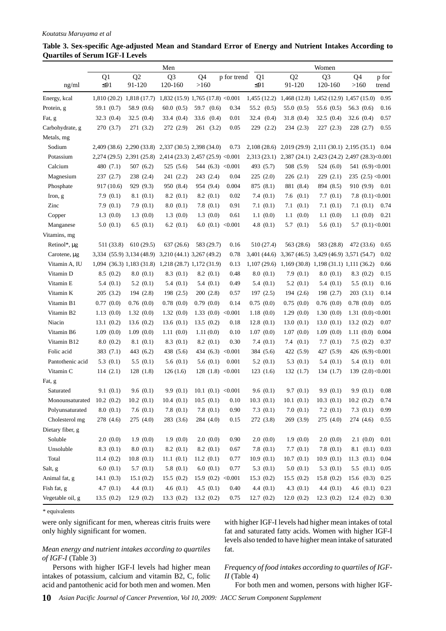|                  |                 |                                                     | Men                       |                                       |             |                 |                                                         | Women                                        |                      |                |
|------------------|-----------------|-----------------------------------------------------|---------------------------|---------------------------------------|-------------|-----------------|---------------------------------------------------------|----------------------------------------------|----------------------|----------------|
| ng/ml            | Q1<br>$\leq$ 91 | Q2<br>91-120                                        | Q <sub>3</sub><br>120-160 | Q4<br>>160                            | p for trend | Q1<br>$\leq 91$ | Q2<br>91-120                                            | Q <sub>3</sub><br>120-160                    | Q4<br>>160           | p for<br>trend |
| Energy, kcal     |                 | 1,810 (20.2) 1,818 (17.7)                           |                           | $1,832$ (15.9) $1,765$ (17.8) < 0.001 |             |                 | 1,455 (12.2) 1,468 (12.8) 1,452 (12.9) 1,457 (15.0)     |                                              |                      | 0.95           |
| Protein, g       | 59.1 $(0.7)$    | 58.9 (0.6)                                          | 60.0(0.5)                 | 59.7 (0.6)                            | 0.34        | 55.2 (0.5)      | 55.0(0.5)                                               | 55.6 (0.5)                                   | 56.3 (0.6)           | 0.16           |
| Fat, g           | 32.3(0.4)       | 32.5(0.4)                                           | 33.4 (0.4)                | $33.6 \quad (0.4)$                    | 0.01        | 32.4 (0.4)      | 31.8(0.4)                                               | 32.5(0.4)                                    | 32.6(0.4)            | 0.57           |
| Carbohydrate, g  | 270(3.7)        | 271 (3.2)                                           | 272 (2.9)                 | 261(3.2)                              | 0.05        | 229(2.2)        | 234(2.3)                                                | 227(2.3)                                     | 228 (2.7)            | 0.55           |
| Metals, mg       |                 |                                                     |                           |                                       |             |                 |                                                         |                                              |                      |                |
| Sodium           |                 | 2,409 (38.6) 2,290 (33.8) 2,337 (30.5) 2,398 (34.0) |                           |                                       | 0.73        | 2,108(28.6)     |                                                         | 2,019 (29.9) 2,111 (30.1) 2,195 (35.1)       |                      | 0.04           |
| Potassium        |                 | 2,274 (29.5) 2,391 (25.8)                           |                           | $2,414$ (23.3) 2,457 (25.9) <0.001    |             | 2,313(23.1)     |                                                         | 2,387 (24.1) 2,423 (24.2) 2,497 (28.3)<0.001 |                      |                |
| Calcium          | 480 (7.1)       | 507(6.2)                                            | 525 (5.6)                 | 544 (6.3) $< 0.001$                   |             | 493 (5.7)       | 508 (5.9)                                               | 524 (6.0)                                    | 541 $(6.9) < 0.001$  |                |
| Magnesium        | 237(2.7)        | 238 (2.4)                                           | 241 (2.2)                 | 243 (2.4)                             | 0.04        | 225(2.0)        | 226(2.1)                                                | 229(2.1)                                     | 235 $(2.5)$ <0.001   |                |
| Phosphate        | 917 (10.6)      | 929 (9.3)                                           | 950 (8.4)                 | 954 (9.4)                             | 0.004       | 875 (8.1)       | 881 (8.4)                                               | 894 (8.5)                                    | 910 (9.9)            | 0.01           |
| Iron, g          | 7.9(0.1)        | 8.1(0.1)                                            | 8.2(0.1)                  | 8.2(0.1)                              | 0.02        | 7.4 $(0.1)$     | 7.6 $(0.1)$                                             | 7.7(0.1)                                     | 7.8 $(0.1)$ < 0.001  |                |
| Zinc             | 7.9(0.1)        | 7.9(0.1)                                            | 8.0(0.1)                  | 7.8(0.1)                              | 0.91        | 7.1(0.1)        | 7.1<br>(0.1)                                            | 7.1(0.1)                                     | 7.1(0.1)             | 0.74           |
| Copper           | 1.3(0.0)        | 1.3(0.0)                                            | 1.3(0.0)                  | 1.3(0.0)                              | 0.61        | 1.1(0.0)        | 1.1<br>(0.0)                                            | 1.1(0.0)                                     | 1.1(0.0)             | 0.21           |
| Manganese        | 5.0(0.1)        | 6.5(0.1)                                            | 6.2 $(0.1)$               | 6.0 $(0.1)$ <0.001                    |             | 4.8(0.1)        | 5.7<br>(0.1)                                            | 5.6(0.1)                                     | 5.7 $(0.1)$ < 0.001  |                |
| Vitamins, mg     |                 |                                                     |                           |                                       |             |                 |                                                         |                                              |                      |                |
| Retinol*, µg     | 511 (33.8)      | 610 (29.5)                                          | 637(26.6)                 | 583 (29.7)                            | 0.16        | 510 (27.4)      | 563 (28.6)                                              | 583 (28.8)                                   | 472 (33.6)           | 0.65           |
| Carotene, µg     |                 | 3,334 (55.9) 3,134 (48.9)                           |                           | 3,210 (44.1) 3,267 (49.2)             | 0.78        | 3,401(44.6)     |                                                         | 3,367 (46.5) 3,429 (46.9) 3,571 (54.7)       |                      | 0.02           |
| Vitamin A, IU    |                 | 1,094 (36.3) 1,183 (31.8) 1,218 (28.7) 1,172 (31.9) |                           |                                       | 0.13        |                 | $1,107(29.6)$ $1,169(30.8)$ $1,198(31.1)$ $1,111(36.2)$ |                                              |                      | 0.66           |
| Vitamin D        | 8.5(0.2)        | 8.0(0.1)                                            | 8.3(0.1)                  | 8.2(0.1)                              | 0.48        | 8.0(0.1)        | 7.9(0.1)                                                | 8.0(0.1)                                     | 8.3(0.2)             | 0.15           |
| Vitamin E        | 5.4(0.1)        | 5.2 $(0.1)$                                         | 5.4(0.1)                  | 5.4 $(0.1)$                           | 0.49        | 5.4 $(0.1)$     | 5.2(0.1)                                                | 5.4(0.1)                                     | 5.5(0.1)             | 0.16           |
| Vitamin K        | 205(3.2)        | 194(2.8)                                            | 198 (2.5)                 | 200(2.8)                              | 0.57        | 197(2.5)        | 194(2.6)                                                | 198 (2.7)                                    | 203(3.1)             | 0.14           |
| Vitamin B1       | 0.77(0.0)       | 0.76(0.0)                                           | 0.78(0.0)                 | 0.79(0.0)                             | 0.14        | 0.75(0.0)       | 0.75(0.0)                                               | 0.76(0.0)                                    | 0.78(0.0)            | 0.05           |
| Vitamin B2       | 1.13(0.0)       | 1.32(0.0)                                           | 1.32(0.0)                 | $1.33(0.0)$ < 0.001                   |             | 1.18(0.0)       | 1.29(0.0)                                               | 1.30(0.0)                                    | 1.31 $(0.0)$ < 0.001 |                |
| Niacin           | 13.1(0.2)       | 13.6(0.2)                                           | 13.6(0.1)                 | 13.5(0.2)                             | 0.18        | 12.8(0.1)       | 13.0(0.1)                                               | 13.0(0.1)                                    | 13.2(0.2)            | 0.07           |
| Vitamin B6       | 1.09(0.0)       | 1.09(0.0)                                           | 1.11(0.0)                 | 1.11(0.0)                             | 0.10        | 1.07(0.0)       | 1.07(0.0)                                               | 1.09(0.0)                                    | 1.11(0.0)0.004       |                |
| Vitamin B12      | 8.0(0.2)        | 8.1(0.1)                                            | 8.3(0.1)                  | 8.2(0.1)                              | 0.30        | 7.4 $(0.1)$     | 7.4 $(0.1)$                                             | 7.7(0.1)                                     | 7.5(0.2)             | 0.37           |
| Folic acid       | 383 (7.1)       | 443 (6.2)                                           | 438 (5.6)                 | 434 $(6.3)$ < 0.001                   |             | 384 (5.6)       | 422 (5.9)                                               | 427 (5.9)                                    | 426 $(6.9) < 0.001$  |                |
| Pantothenic acid | 5.3(0.1)        | 5.5(0.1)                                            | 5.6(0.1)                  | 5.6(0.1)                              | 0.001       | 5.2(0.1)        | 5.3(0.1)                                                | 5.4(0.1)                                     | 5.4(0.1)             | 0.01           |
| Vitamin C        | 114(2.1)        | 128 (1.8)                                           | 126(1.6)                  | 128 $(1.8)$ < 0.001                   |             | 123(1.6)        | 132(1.7)                                                | 134 (1.7)                                    | 139 $(2.0)$ < 0.001  |                |
| Fat, g           |                 |                                                     |                           |                                       |             |                 |                                                         |                                              |                      |                |
| Saturated        | 9.1(0.1)        | 9.6(0.1)                                            | 9.9(0.1)                  | $10.1$ $(0.1)$ $< 0.001$              |             | 9.6(0.1)        | 9.7(0.1)                                                | 9.9(0.1)                                     | 9.9(0.1)             | 0.08           |
| Monounsaturated  | 10.2(0.2)       | 10.2 (0.1)                                          | 10.4(0.1)                 | 10.5(0.1)                             | 0.10        | 10.3(0.1)       | 10.1(0.1)                                               | 10.3(0.1)                                    | 10.2(0.2)            | 0.74           |
| Polyunsaturated  | 8.0(0.1)        | 7.6(0.1)                                            | 7.8(0.1)                  | 7.8(0.1)                              | 0.90        | 7.3(0.1)        | 7.0(0.1)                                                | 7.2(0.1)                                     | 7.3(0.1)             | 0.99           |
| Cholesterol mg   | 278 (4.6)       | 275(4.0)                                            | 283(3.6)                  | 284 (4.0)                             | 0.15        | 272 (3.8)       | 269 (3.9)                                               | 275(4.0)                                     | 274 (4.6)            | 0.55           |
| Dietary fiber, g |                 |                                                     |                           |                                       |             |                 |                                                         |                                              |                      |                |
| Soluble          | 2.0(0.0)        | 1.9(0.0)                                            | 1.9(0.0)                  | 2.0(0.0)                              | 0.90        | 2.0(0.0)        | 1.9(0.0)                                                | 2.0(0.0)                                     | 2.1(0.0)             | 0.01           |
| Unsoluble        | 8.3(0.1)        | 8.0(0.1)                                            | 8.2(0.1)                  | 8.2(0.1)                              | 0.67        | 7.8(0.1)        | 7.7(0.1)                                                | 7.8(0.1)                                     | 8.1 (0.1)            | 0.03           |
| Total            | 11.4(0.2)       | 10.8(0.1)                                           | 11.1(0.1)                 | 11.2(0.1)                             | 0.77        | 10.9(0.1)       | 10.7(0.1)                                               | 10.9(0.1)                                    | $11.3$ $(0.1)$       | 0.04           |
| Salt, g          | 6.0(0.1)        | 5.7(0.1)                                            | 5.8(0.1)                  | 6.0(0.1)                              | 0.77        | 5.3(0.1)        | 5.0(0.1)                                                | 5.3(0.1)                                     | 5.5(0.1)             | 0.05           |
| Animal fat, g    | 14.1(0.3)       | 15.1(0.2)                                           | 15.5(0.2)                 | 15.9 $(0.2)$ <0.001                   |             | 15.3(0.2)       | 15.5(0.2)                                               | 15.8(0.2)                                    | 15.6(0.3)            | 0.25           |
| Fish fat, g      | 4.7(0.1)        | 4.4 $(0.1)$                                         | 4.6 $(0.1)$               | 4.5(0.1)                              | 0.40        | 4.4 $(0.1)$     | 4.3(0.1)                                                | 4.4 $(0.1)$                                  | 4.6 $(0.1)$          | 0.23           |
| Vegetable oil, g | 13.5(0.2)       | 12.9(0.2)                                           | 13.3(0.2)                 | 13.2(0.2)                             | 0.75        | 12.7(0.2)       | 12.0(0.2)                                               | 12.3(0.2)                                    | $12.4 \quad (0.2)$   | 0.30           |

## **Table 3. Sex-specific Age-adjusted Mean and Standard Error of Energy and Nutrient Intakes According to Quartiles of Serum IGF-I Levels**

\* equivalents

were only significant for men, whereas citris fruits were only highly significant for women.

## *Mean energy and nutrient intakes according to quartiles of IGF-I* (Table 3)

Persons with higher IGF-I levels had higher mean intakes of potassium, calcium and vitamin B2, C, folic acid and pantothenic acid for both men and women. Men

with higher IGF-I levels had higher mean intakes of total fat and saturated fatty acids. Women with higher IGF-I levels also tended to have higher mean intake of saturated fat.

## *Frequency of food intakes according to quartiles of IGF-II* (Table 4)

For both men and women, persons with higher IGF-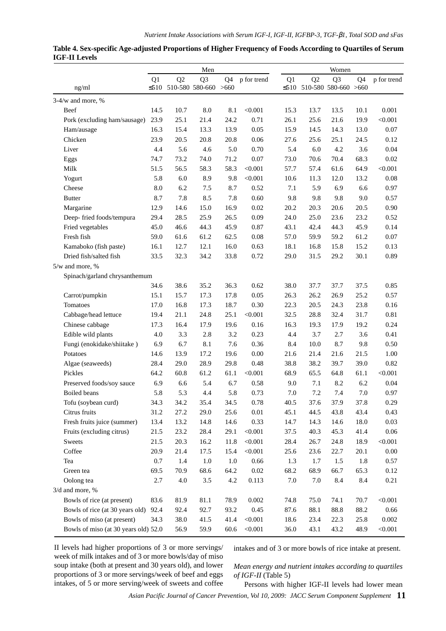|                                      |      |      | Men                                               |         |             | Women |                                                   |                |      |             |
|--------------------------------------|------|------|---------------------------------------------------|---------|-------------|-------|---------------------------------------------------|----------------|------|-------------|
| ng/ml                                | Q1   | Q2   | Q <sub>3</sub><br>$\leq$ 510 510-580 580-660 >660 | Q4      | p for trend | Q1    | Q <sub>2</sub><br>$\leq$ 510 510-580 580-660 >660 | Q <sub>3</sub> | Q4   | p for trend |
| 3-4/w and more, %                    |      |      |                                                   |         |             |       |                                                   |                |      |             |
| Beef                                 | 14.5 | 10.7 | 8.0                                               | 8.1     | < 0.001     | 15.3  | 13.7                                              | 13.5           | 10.1 | 0.001       |
| Pork (excluding ham/sausage)         | 23.9 | 25.1 | 21.4                                              | 24.2    | 0.71        | 26.1  | 25.6                                              | 21.6           | 19.9 | < 0.001     |
| Ham/ausage                           | 16.3 | 15.4 | 13.3                                              | 13.9    | 0.05        | 15.9  | 14.5                                              | 14.3           | 13.0 | $0.07\,$    |
| Chicken                              | 23.9 | 20.5 | 20.8                                              | 20.8    | 0.06        | 27.6  | 25.6                                              | 25.1           | 24.5 | 0.12        |
| Liver                                | 4.4  | 5.6  | 4.6                                               | 5.0     | 0.70        | 5.4   | 6.0                                               | 4.2            | 3.6  | 0.04        |
| Eggs                                 | 74.7 | 73.2 | 74.0                                              | 71.2    | 0.07        | 73.0  | 70.6                                              | 70.4           | 68.3 | 0.02        |
| Milk                                 | 51.5 | 56.5 | 58.3                                              | 58.3    | < 0.001     | 57.7  | 57.4                                              | 61.6           | 64.9 | < 0.001     |
| Yogurt                               | 5.8  | 6.0  | 8.9                                               | 9.8     | < 0.001     | 10.6  | 11.3                                              | 12.0           | 13.2 | 0.08        |
| Cheese                               | 8.0  | 6.2  | 7.5                                               | 8.7     | 0.52        | 7.1   | 5.9                                               | 6.9            | 6.6  | 0.97        |
| <b>Butter</b>                        | 8.7  | 7.8  | 8.5                                               | 7.8     | 0.60        | 9.8   | 9.8                                               | 9.8            | 9.0  | 0.57        |
| Margarine                            | 12.9 | 14.6 | 15.0                                              | 16.9    | 0.02        | 20.2  | 20.3                                              | 20.6           | 20.5 | 0.90        |
| Deep-fried foods/tempura             | 29.4 | 28.5 | 25.9                                              | 26.5    | 0.09        | 24.0  | 25.0                                              | 23.6           | 23.2 | 0.52        |
| Fried vegetables                     | 45.0 | 46.6 | 44.3                                              | 45.9    | 0.87        | 43.1  | 42.4                                              | 44.3           | 45.9 | 0.14        |
| Fresh fish                           | 59.0 | 61.6 | 61.2                                              | 62.5    | 0.08        | 57.0  | 59.9                                              | 59.2           | 61.2 | $0.07\,$    |
| Kamaboko (fish paste)                | 16.1 | 12.7 | 12.1                                              | 16.0    | 0.63        | 18.1  | 16.8                                              | 15.8           | 15.2 | 0.13        |
| Dried fish/salted fish               | 33.5 | 32.3 | 34.2                                              | 33.8    | 0.72        | 29.0  | 31.5                                              | 29.2           | 30.1 | 0.89        |
| 5/w and more, %                      |      |      |                                                   |         |             |       |                                                   |                |      |             |
| Spinach/garland chrysanthemum        |      |      |                                                   |         |             |       |                                                   |                |      |             |
|                                      | 34.6 | 38.6 | 35.2                                              | 36.3    | 0.62        | 38.0  | 37.7                                              | 37.7           | 37.5 | 0.85        |
| Carrot/pumpkin                       | 15.1 | 15.7 | 17.3                                              | 17.8    | 0.05        | 26.3  | 26.2                                              | 26.9           | 25.2 | 0.57        |
| Tomatoes                             | 17.0 | 16.8 | 17.3                                              | 18.7    | 0.30        | 22.3  | 20.5                                              | 24.3           | 23.8 | 0.16        |
| Cabbage/head lettuce                 | 19.4 | 21.1 | 24.8                                              | 25.1    | < 0.001     | 32.5  | 28.8                                              | 32.4           | 31.7 | 0.81        |
| Chinese cabbage                      | 17.3 | 16.4 | 17.9                                              | 19.6    | 0.16        | 16.3  | 19.3                                              | 17.9           | 19.2 | 0.24        |
| Edible wild plants                   | 4.0  | 3.3  | 2.8                                               | 3.2     | 0.23        | 4.4   | 3.7                                               | 2.7            | 3.6  | 0.41        |
| Fungi (enokidake/shiitake)           | 6.9  | 6.7  | 8.1                                               | 7.6     | 0.36        | 8.4   | 10.0                                              | 8.7            | 9.8  | 0.50        |
| Potatoes                             | 14.6 | 13.9 | 17.2                                              | 19.6    | 0.00        | 21.6  | 21.4                                              | 21.6           | 21.5 | 1.00        |
| Algae (seaweeds)                     | 28.4 | 29.0 | 28.9                                              | 29.8    | 0.48        | 38.8  | 38.2                                              | 39.7           | 39.0 | 0.82        |
| Pickles                              | 64.2 | 60.8 | 61.2                                              | 61.1    | < 0.001     | 68.9  | 65.5                                              | 64.8           | 61.1 | < 0.001     |
| Preserved foods/soy sauce            | 6.9  | 6.6  | 5.4                                               | 6.7     | 0.58        | 9.0   | 7.1                                               | 8.2            | 6.2  | 0.04        |
| <b>Boiled</b> beans                  | 5.8  | 5.3  | 4.4                                               | 5.8     | 0.73        | 7.0   | 7.2                                               | 7.4            | 7.0  | 0.97        |
| Tofu (soybean curd)                  | 34.3 | 34.2 | 35.4                                              | 34.5    | 0.78        | 40.5  | 37.6                                              | 37.9           | 37.8 | 0.29        |
| Citrus fruits                        | 31.2 | 27.2 | 29.0                                              | 25.6    | $0.01\,$    | 45.1  | 44.5                                              | 43.8           | 43.4 | 0.43        |
| Fresh fruits juice (summer)          | 13.4 | 13.2 | 14.8                                              | 14.6    | 0.33        | 14.7  | 14.3                                              | 14.6           | 18.0 | 0.03        |
| Fruits (excluding citrus)            | 21.5 | 23.2 | 28.4                                              | 29.1    | < 0.001     | 37.5  | 40.3                                              | 45.3           | 41.4 | $0.06\,$    |
| Sweets                               | 21.5 | 20.3 | 16.2                                              | 11.8    | < 0.001     | 28.4  | 26.7                                              | 24.8           | 18.9 | < 0.001     |
| Coffee                               | 20.9 | 21.4 | 17.5                                              | 15.4    | < 0.001     | 25.6  | 23.6                                              | 22.7           | 20.1 | $0.00\,$    |
| Tea                                  | 0.7  | 1.4  | 1.0                                               | $1.0\,$ | 0.66        | 1.3   | 1.7                                               | 1.5            | 1.8  | 0.57        |
| Green tea                            | 69.5 | 70.9 | 68.6                                              | 64.2    | $0.02\,$    | 68.2  | 68.9                                              | 66.7           | 65.3 | 0.12        |
| Oolong tea                           | 2.7  | 4.0  | $3.5$                                             | $4.2\,$ | 0.113       | 7.0   | 7.0                                               | 8.4            | 8.4  | 0.21        |
| 3/d and more, %                      |      |      |                                                   |         |             |       |                                                   |                |      |             |
| Bowls of rice (at present)           | 83.6 | 81.9 | 81.1                                              | 78.9    | 0.002       | 74.8  | 75.0                                              | 74.1           | 70.7 | < 0.001     |
| Bowls of rice (at 30 years old)      | 92.4 | 92.4 | 92.7                                              | 93.2    | 0.45        | 87.6  | 88.1                                              | 88.8           | 88.2 | 0.66        |
| Bowls of miso (at present)           | 34.3 | 38.0 | 41.5                                              | 41.4    | < 0.001     | 18.6  | 23.4                                              | 22.3           | 25.8 | 0.002       |
| Bowls of miso (at 30 years old) 52.0 |      | 56.9 | 59.9                                              | 60.6    | < 0.001     | 36.0  | 43.1                                              | 43.2           | 48.9 | < 0.001     |

**Table 4. Sex-specific Age-adjusted Proportions of Higher Frequency of Foods According to Quartiles of Serum IGF-II Levels**

II levels had higher proportions of 3 or more servings/ week of milk intakes and of 3 or more bowls/day of miso soup intake (both at present and 30 years old), and lower proportions of 3 or more servings/week of beef and eggs intakes, of 5 or more serving/week of sweets and coffee

intakes and of 3 or more bowls of rice intake at present.

*Mean energy and nutrient intakes according to quartiles of IGF-II* (Table 5)

*Asian Pacific Journal of Cancer Prevention, Vol 10, 2009: JACC Serum Component Supplement* **11** Persons with higher IGF-II levels had lower mean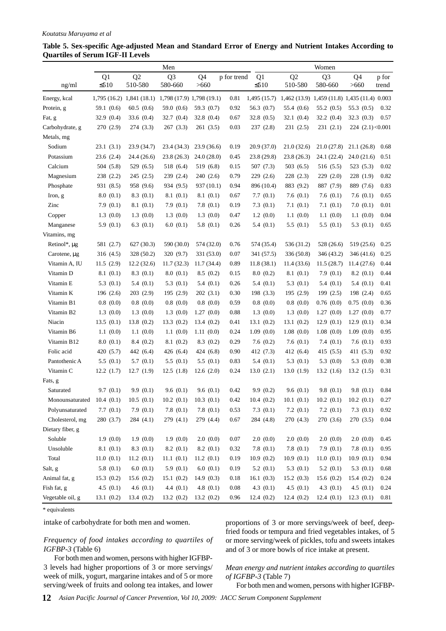|                   |                  |                             | Men                       |                           |             |                  |               | Women                                        |                       |                |
|-------------------|------------------|-----------------------------|---------------------------|---------------------------|-------------|------------------|---------------|----------------------------------------------|-----------------------|----------------|
| ng/ml             | Q1<br>$\leq 510$ | Q <sub>2</sub><br>510-580   | Q <sub>3</sub><br>580-660 | Q4<br>>660                | p for trend | Q1<br>$\leq 510$ | Q2<br>510-580 | Q <sub>3</sub><br>580-660                    | Q4<br>>660            | p for<br>trend |
| Energy, kcal      |                  | $1,795(16.2)$ $1,841(18.1)$ |                           | 1,798 (17.9) 1,798 (19.1) | 0.81        | 1,495 (15.7)     |               | 1,462 (13.9) 1,459 (11.8) 1,435 (11.4) 0.003 |                       |                |
| Protein, g        | 59.1 (0.6)       | 60.5(0.6)                   | 59.0 $(0.6)$              | 59.3 $(0.7)$              | 0.92        | 56.3 $(0.7)$     | 55.4 (0.6)    | 55.2(0.5)                                    | 55.3 $(0.5)$          | 0.32           |
| Fat, g            | 32.9 (0.4)       | 33.6 $(0.4)$                | 32.7(0.4)                 | 32.8(0.4)                 | 0.67        | 32.8(0.5)        | 32.1 (0.4)    | 32.2(0.4)                                    | 32.3(0.3)             | 0.57           |
| Carbohydrate, g   | 270 (2.9)        | 274 (3.3)                   | 267(3.3)                  | 261 (3.5)                 | 0.03        | 237(2.8)         | 231(2.5)      | 231(2.1)                                     | $224$ $(2.1) < 0.001$ |                |
| Metals, mg        |                  |                             |                           |                           |             |                  |               |                                              |                       |                |
| Sodium            | 23.1(3.1)        | 23.9 (34.7)                 | 23.4 (34.3)               | 23.9(36.6)                | 0.19        | 20.9(37.0)       | 21.0(32.6)    | 21.0(27.8)                                   | 21.1(26.8)            | 0.68           |
| Potassium         | 23.6(2.4)        | 24.4 (26.6)                 | 23.8(26.3)                | 24.0(28.0)                | 0.45        | 23.8 (29.8)      | 23.8 (26.3)   | 24.1 (22.4)                                  | 24.0 (21.6)           | 0.51           |
| Calcium           | 504 (5.8)        | 529 (6.5)                   | 518 (6.4)                 | 519 (6.8)                 | 0.15        | 507 (7.3)        | 503(6.5)      | 516 (5.5)                                    | 523 (5.3)             | 0.02           |
| Magnesium         | 238 (2.2)        | 245(2.5)                    | 239 (2.4)                 | 240(2.6)                  | 0.79        | 229(2.6)         | 228(2.3)      | 229(2.0)                                     | 228 (1.9)             | 0.82           |
| Phosphate         | 931 (8.5)        | 958 (9.6)                   | 934 (9.5)                 | 937 (10.1)                | 0.94        | 896 (10.4)       | 883 (9.2)     | 887 (7.9)                                    | 889 (7.6)             | 0.83           |
| Iron, g           | 8.0(0.1)         | 8.3(0.1)                    | 8.1(0.1)                  | 8.1(0.1)                  | 0.67        | 7.7(0.1)         | 7.6(0.1)      | 7.6 $(0.1)$                                  | 7.6 $(0.1)$           | 0.65           |
| Zinc              | 7.9(0.1)         | 8.1(0.1)                    | 7.9(0.1)                  | 7.8(0.1)                  | 0.19        | 7.3 $(0.1)$      | 7.1(0.1)      | 7.1(0.1)                                     | 7.0(0.1)              | 0.01           |
| Copper            | 1.3(0.0)         | 1.3(0.0)                    | 1.3(0.0)                  | 1.3(0.0)                  | 0.47        | 1.2(0.0)         | 1.1(0.0)      | 1.1(0.0)                                     | 1.1(0.0)              | 0.04           |
| Manganese         | 5.9(0.1)         | 6.3(0.1)                    | 6.0(0.1)                  | 5.8(0.1)                  | 0.26        | 5.4(0.1)         | 5.5(0.1)      | 5.5(0.1)                                     | 5.3 $(0.1)$           | 0.65           |
| Vitamins, mg      |                  |                             |                           |                           |             |                  |               |                                              |                       |                |
| Retinol*, µg      | 581 (2.7)        | 627(30.3)                   | 590 (30.0)                | 574 (32.0)                | 0.76        | 574 (35.4)       | 536 (31.2)    | 528 (26.6)                                   | 519 (25.6)            | 0.25           |
| Carotene, $\mu$ g | 316 (4.5)        | 328 (50.2)                  | 320 (9.7)                 | 331 (53.0)                | 0.07        | 341 (57.5)       | 336 (50.8)    | 346 (43.2)                                   | 346 (41.6)            | 0.25           |
| Vitamin A, IU     | 11.5(2.9)        | 12.2(32.6)                  | 11.7(32.3)                | 11.7(34.4)                | 0.89        | 11.8(38.1)       | 11.4(33.6)    | 11.5(28.7)                                   | 11.4(27.6)            | 0.44           |
| Vitamin D         | 8.1(0.1)         | 8.3(0.1)                    | 8.0(0.1)                  | 8.5(0.2)                  | 0.15        | 8.0(0.2)         | 8.1(0.1)      | 7.9(0.1)                                     | 8.2(0.1)              | 0.44           |
| Vitamin E         | 5.3(0.1)         | 5.4(0.1)                    | 5.3(0.1)                  | 5.4 $(0.1)$               | 0.26        | 5.4 $(0.1)$      | 5.3 $(0.1)$   | 5.4 $(0.1)$                                  | 5.4(0.1)              | 0.41           |
| Vitamin K         | 196 (2.6)        | 203(2.9)                    | 195 (2.9)                 | 202(3.1)                  | 0.30        | 198 (3.3)        | 195(2.9)      | 199(2.5)                                     | 198 (2.4)             | 0.65           |
| Vitamin B1        | 0.8(0.0)         | 0.8(0.0)                    | 0.8(0.0)                  | 0.8(0.0)                  | 0.59        | 0.8(0.0)         | 0.8(0.0)      | 0.76(0.0)                                    | 0.75(0.0)             | 0.36           |
| Vitamin B2        | 1.3(0.0)         | 1.3(0.0)                    | 1.3(0.0)                  | 1.27(0.0)                 | 0.88        | 1.3(0.0)         | 1.3(0.0)      | 1.27(0.0)                                    | 1.27(0.0)             | 0.77           |
| Niacin            | 13.5(0.1)        | 13.8(0.2)                   | 13.3(0.2)                 | 13.4(0.2)                 | 0.41        | 13.1(0.2)        | 13.1(0.2)     | 12.9(0.1)                                    | 12.9(0.1)             | 0.34           |
| Vitamin B6        | 1.1(0.0)         | 1.1(0.0)                    | 1.1(0.0)                  | 1.11(0.0)                 | 0.24        | 1.09(0.0)        | 1.08(0.0)     | 1.08(0.0)                                    | 1.09(0.0)             | 0.95           |
| Vitamin B12       | 8.0(0.1)         | 8.4(0.2)                    | 8.1(0.2)                  | 8.3(0.2)                  | 0.29        | 7.6 $(0.2)$      | 7.6 $(0.1)$   | 7.4(0.1)                                     | 7.6 $(0.1)$           | 0.93           |
| Folic acid        | 420 (5.7)        | 442 (6.4)                   | 426(6.4)                  | 424 (6.8)                 | 0.90        | 412 (7.3)        | 412 (6.4)     | 415 (5.5)                                    | 411 (5.3)             | 0.92           |
| Pantothenic A     | 5.5(0.1)         | 5.7(0.1)                    | 5.5(0.1)                  | 5.5(0.1)                  | 0.83        | 5.4(0.1)         | 5.3 $(0.1)$   | 5.3(0.0)                                     | 5.3(0.0)              | 0.38           |
| Vitamin C         | 12.2(1.7)        | 12.7(1.9)                   | 12.5(1.8)                 | 12.6(2.0)                 | 0.24        | 13.0(2.1)        | 13.0(1.9)     | 13.2(1.6)                                    | 13.2(1.5)             | 0.31           |
| Fats, g           |                  |                             |                           |                           |             |                  |               |                                              |                       |                |
| Saturated         | 9.7(0.1)         | 9.9(0.1)                    | 9.6(0.1)                  | 9.6(0.1)                  | 0.42        | 9.9(0.2)         | 9.6(0.1)      | 9.8(0.1)                                     | 9.8(0.1)              | 0.84           |
| Monounsaturated   | 10.4(0.1)        | 10.5(0.1)                   | 10.2 (0.1)                | 10.3(0.1)                 | 0.42        | 10.4(0.2)        | 10.1(0.1)     | 10.2(0.1)                                    | 10.2(0.1)             | 0.27           |
| Polyunsaturated   | 7.7(0.1)         | 7.9(0.1)                    | 7.8(0.1)                  | 7.8(0.1)                  | 0.53        | 7.3(0.1)         | 7.2(0.1)      | 7.2(0.1)                                     | 7.3(0.1)              | 0.92           |
| Cholesterol, mg   | 280 (3.7)        | 284 (4.1)                   | 279 (4.1)                 | 279 (4.4)                 | 0.67        | 284 (4.8)        | 270 (4.3)     | 270 (3.6)                                    | 270 (3.5)             | 0.04           |
| Dietary fiber, g  |                  |                             |                           |                           |             |                  |               |                                              |                       |                |
| Soluble           | 1.9(0.0)         | 1.9(0.0)                    | 1.9(0.0)                  | 2.0(0.0)                  | 0.07        | 2.0(0.0)         | 2.0(0.0)      | 2.0(0.0)                                     | 2.0(0.0)              | 0.45           |
| Unsoluble         | 8.1(0.1)         | 8.3(0.1)                    | 8.2(0.1)                  | 8.2(0.1)                  | 0.32        | 7.8(0.1)         | 7.8(0.1)      | 7.9(0.1)                                     | 7.8(0.1)              | 0.95           |
| Total             | 11.0(0.1)        | 11.2(0.1)                   | 11.1(0.1)                 | 11.2(0.1)                 | 0.19        | 10.9(0.2)        | 10.9(0.1)     | 11.0(0.1)                                    | 10.9(0.1)             | 0.94           |
| Salt, g           | 5.8(0.1)         | 6.0(0.1)                    | 5.9(0.1)                  | 6.0(0.1)                  | 0.19        | 5.2(0.1)         | 5.3 $(0.1)$   | 5.2(0.1)                                     | 5.3(0.1)              | 0.68           |
| Animal fat, g     | 15.3(0.2)        | 15.6(0.2)                   | 15.1(0.2)                 | 14.9(0.3)                 | 0.18        | 16.1(0.3)        | 15.2(0.3)     | 15.6(0.2)                                    | 15.4(0.2)             | 0.24           |
| Fish fat, g       | 4.5(0.1)         | 4.6(0.1)                    | 4.4(0.1)                  | 4.8 $(0.1)$               | 0.08        | 4.3(0.1)         | 4.5(0.1)      | 4.3(0.1)                                     | 4.5 $(0.1)$           | 0.24           |
| Vegetable oil, g  | 13.1(0.2)        | 13.4 (0.2)                  | 13.2(0.2)                 | 13.2(0.2)                 | 0.96        | 12.4(0.2)        | 12.4(0.2)     | 12.4(0.1)                                    | 12.3(0.1)             | 0.81           |

## **Table 5. Sex-specific Age-adjusted Mean and Standard Error of Energy and Nutrient Intakes According to Quartiles of Serum IGF-II Levels**

\* equivalents

intake of carbohydrate for both men and women.

proportions of 3 or more servings/week of beef, deepfried foods or tempura and fried vegetables intakes, of 5 or more serving/week of pickles, tofu and sweets intakes and of 3 or more bowls of rice intake at present.

## *Frequency of food intakes according to quartiles of IGFBP-3* (Table 6)

For both men and women, persons with higher IGFBP-3 levels had higher proportions of 3 or more servings/ week of milk, yogurt, margarine intakes and of 5 or more serving/week of fruits and oolong tea intakes, and lower

#### *Mean energy and nutrient intakes according to quartiles of IGFBP-3* (Table 7)

For both men and women, persons with higher IGFBP-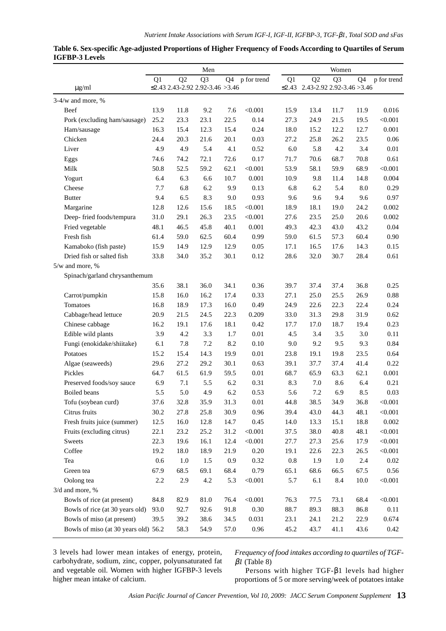|                                      |      |                                             | Men            |      |             | Women |                                             |                |          |             |
|--------------------------------------|------|---------------------------------------------|----------------|------|-------------|-------|---------------------------------------------|----------------|----------|-------------|
| $\mu$ g/ml                           | Q1   | Q2<br>$\leq$ 2.43 2.43-2.92 2.92-3.46 >3.46 | Q <sub>3</sub> | Q4   | p for trend | Q1    | Q2<br>$\leq$ 2.43 2.43-2.92 2.92-3.46 >3.46 | Q <sub>3</sub> | Q4       | p for trend |
| $3-4/w$ and more, %                  |      |                                             |                |      |             |       |                                             |                |          |             |
| Beef                                 | 13.9 | 11.8                                        | 9.2            | 7.6  | < 0.001     | 15.9  | 13.4                                        | 11.7           | 11.9     | 0.016       |
| Pork (excluding ham/sausage)         | 25.2 | 23.3                                        | 23.1           | 22.5 | 0.14        | 27.3  | 24.9                                        | 21.5           | 19.5     | < 0.001     |
| Ham/sausage                          | 16.3 | 15.4                                        | 12.3           | 15.4 | 0.24        | 18.0  | 15.2                                        | 12.2           | 12.7     | 0.001       |
| Chicken                              | 24.4 | 20.3                                        | 21.6           | 20.1 | 0.03        | 27.2  | 25.8                                        | 26.2           | 23.5     | 0.06        |
| Liver                                | 4.9  | 4.9                                         | 5.4            | 4.1  | 0.52        | 6.0   | 5.8                                         | 4.2            | 3.4      | $0.01\,$    |
| Eggs                                 | 74.6 | 74.2                                        | 72.1           | 72.6 | 0.17        | 71.7  | 70.6                                        | 68.7           | 70.8     | 0.61        |
| Milk                                 | 50.8 | 52.5                                        | 59.2           | 62.1 | < 0.001     | 53.9  | 58.1                                        | 59.9           | 68.9     | < 0.001     |
| Yogurt                               | 6.4  | 6.3                                         | 6.6            | 10.7 | 0.001       | 10.9  | 9.8                                         | 11.4           | 14.8     | 0.004       |
| Cheese                               | 7.7  | 6.8                                         | 6.2            | 9.9  | 0.13        | 6.8   | 6.2                                         | 5.4            | 8.0      | 0.29        |
| <b>Butter</b>                        | 9.4  | 6.5                                         | 8.3            | 9.0  | 0.93        | 9.6   | 9.6                                         | 9.4            | 9.6      | 0.97        |
| Margarine                            | 12.8 | 12.6                                        | 15.6           | 18.5 | < 0.001     | 18.9  | 18.1                                        | 19.0           | 24.2     | 0.002       |
| Deep-fried foods/tempura             | 31.0 | 29.1                                        | 26.3           | 23.5 | < 0.001     | 27.6  | 23.5                                        | 25.0           | 20.6     | 0.002       |
| Fried vegetable                      | 48.1 | 46.5                                        | 45.8           | 40.1 | 0.001       | 49.3  | 42.3                                        | 43.0           | 43.2     | 0.04        |
| Fresh fish                           | 61.4 | 59.0                                        | 62.5           | 60.4 | 0.99        | 59.0  | 61.5                                        | 57.3           | 60.4     | 0.90        |
| Kamaboko (fish paste)                | 15.9 | 14.9                                        | 12.9           | 12.9 | 0.05        | 17.1  | 16.5                                        | 17.6           | 14.3     | 0.15        |
| Dried fish or salted fish            | 33.8 | 34.0                                        | 35.2           | 30.1 | 0.12        | 28.6  | 32.0                                        | 30.7           | 28.4     | 0.61        |
| 5/w and more, %                      |      |                                             |                |      |             |       |                                             |                |          |             |
| Spinach/garland chrysanthemum        |      |                                             |                |      |             |       |                                             |                |          |             |
|                                      | 35.6 | 38.1                                        | 36.0           | 34.1 | 0.36        | 39.7  | 37.4                                        | 37.4           | 36.8     | 0.25        |
| Carrot/pumpkin                       | 15.8 | 16.0                                        | 16.2           | 17.4 | 0.33        | 27.1  | 25.0                                        | 25.5           | 26.9     | 0.88        |
| Tomatoes                             | 16.8 | 18.9                                        | 17.3           | 16.0 | 0.49        | 24.9  | 22.6                                        | 22.3           | 22.4     | 0.24        |
| Cabbage/head lettuce                 | 20.9 | 21.5                                        | 24.5           | 22.3 | 0.209       | 33.0  | 31.3                                        | 29.8           | 31.9     | 0.62        |
| Chinese cabbage                      | 16.2 | 19.1                                        | 17.6           | 18.1 | 0.42        | 17.7  | 17.0                                        | 18.7           | 19.4     | 0.23        |
| Edible wild plants                   | 3.9  | 4.2                                         | 3.3            | 1.7  | $0.01\,$    | 4.5   | 3.4                                         | 3.5            | 3.0      | 0.11        |
| Fungi (enokidake/shiitake)           | 6.1  | 7.8                                         | 7.2            | 8.2  | 0.10        | 9.0   | 9.2                                         | 9.5            | 9.3      | 0.84        |
| Potatoes                             | 15.2 | 15.4                                        | 14.3           | 19.9 | 0.01        | 23.8  | 19.1                                        | 19.8           | 23.5     | 0.64        |
| Algae (seaweeds)                     | 29.6 | 27.2                                        | 29.2           | 30.1 | 0.63        | 39.1  | 37.7                                        | 37.4           | 41.4     | 0.22        |
| Pickles                              | 64.7 | 61.5                                        | 61.9           | 59.5 | 0.01        | 68.7  | 65.9                                        | 63.3           | 62.1     | 0.001       |
| Preserved foods/soy sauce            | 6.9  | 7.1                                         | 5.5            | 6.2  | 0.31        | 8.3   | 7.0                                         | 8.6            | 6.4      | 0.21        |
| <b>Boiled</b> beans                  | 5.5  | 5.0                                         | 4.9            | 6.2  | 0.53        | 5.6   | 7.2                                         | 6.9            | 8.5      | 0.03        |
| Tofu (soybean curd)                  | 37.6 | 32.8                                        | 35.9           | 31.3 | 0.01        | 44.8  | 38.5                                        | 34.9           | 36.8     | < 0.001     |
| Citrus fruits                        | 30.2 | 27.8                                        | 25.8           | 30.9 | 0.96        | 39.4  | 43.0                                        | 44.3           | 48.1     | < 0.001     |
| Fresh fruits juice (summer)          | 12.5 | 16.0                                        | 12.8           | 14.7 | 0.45        | 14.0  | 13.3                                        | 15.1           | 18.8     | 0.002       |
| Fruits (excluding citrus)            | 22.1 | 23.2                                        | 25.2           | 31.2 | < 0.001     | 37.5  | 38.0                                        | 40.8           | 48.1     | < 0.001     |
| Sweets                               | 22.3 | 19.6                                        | 16.1           | 12.4 | < 0.001     | 27.7  | 27.3                                        | 25.6           | 17.9     | < 0.001     |
| Coffee                               | 19.2 | 18.0                                        | 18.9           | 21.9 | $0.20\,$    | 19.1  | 22.6                                        | 22.3           | 26.5     | < 0.001     |
| Tea                                  | 0.6  | 1.0                                         | 1.5            | 0.9  | 0.32        | 0.8   | 1.9                                         | 1.0            | 2.4      | $0.02\,$    |
| Green tea                            | 67.9 | 68.5                                        | 69.1           | 68.4 | 0.79        | 65.1  | 68.6                                        | 66.5           | 67.5     | 0.56        |
| Oolong tea                           | 2.2  | 2.9                                         | 4.2            | 5.3  | < 0.001     | 5.7   | $6.1\,$                                     | 8.4            | $10.0\,$ | < 0.001     |
| 3/d and more, %                      |      |                                             |                |      |             |       |                                             |                |          |             |
| Bowls of rice (at present)           | 84.8 | 82.9                                        | 81.0           | 76.4 | < 0.001     | 76.3  | 77.5                                        | 73.1           | 68.4     | < 0.001     |
| Bowls of rice (at 30 years old)      | 93.0 | 92.7                                        | 92.6           | 91.8 | $0.30\,$    | 88.7  | 89.3                                        | 88.3           | 86.8     | 0.11        |
| Bowls of miso (at present)           | 39.5 | 39.2                                        | 38.6           | 34.5 | 0.031       | 23.1  | 24.1                                        | 21.2           | 22.9     | 0.674       |
| Bowls of miso (at 30 years old) 56.2 |      | 58.3                                        | 54.9           | 57.0 | 0.96        | 45.2  | 43.7                                        | 41.1           | 43.6     | 0.42        |

**Table 6. Sex-specific Age-adjusted Proportions of Higher Frequency of Foods According to Quartiles of Serum IGFBP-3 Levels**

3 levels had lower mean intakes of energy, protein, carbohydrate, sodium, zinc, copper, polyunsaturated fat and vegetable oil. Women with higher IGFBP-3 levels higher mean intake of calcium.

*Frequency of food intakes according to quartiles of TGF-* $\beta$ *1* (Table 8)

Persons with higher TGF-β1 levels had higher proportions of 5 or more serving/week of potatoes intake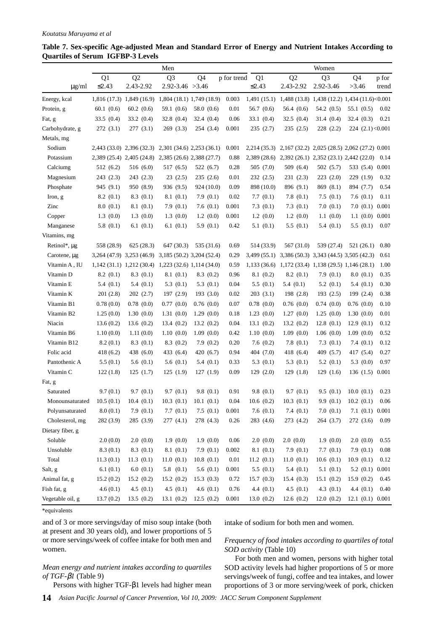|                   |             |                                                     | Men                       |                           |             |             |                                                           | Women                                        |                       |       |
|-------------------|-------------|-----------------------------------------------------|---------------------------|---------------------------|-------------|-------------|-----------------------------------------------------------|----------------------------------------------|-----------------------|-------|
|                   | Q1          | Q2                                                  | Q <sub>3</sub>            | Q4                        | p for trend | Q1          | Q2                                                        | Q <sub>3</sub>                               | Q4                    | p for |
| $\mu$ g/ml        | $\leq$ 2.43 | 2.43-2.92                                           | $2.92 - 3.46 > 3.46$      |                           |             | $\leq 2.43$ | 2.43-2.92                                                 | 2.92-3.46                                    | >3.46                 | trend |
| Energy, kcal      |             | 1,816 (17.3) 1,849 (16.9)                           |                           | 1,804 (18.1) 1,749 (18.9) | 0.003       | 1,491(15.1) |                                                           | 1,488 (13.8) 1,438 (12.2) 1,434 (11.6)<0.001 |                       |       |
| Protein, g        | 60.1(0.6)   | 60.2(0.6)                                           | 59.1 (0.6)                | 58.0 (0.6)                | 0.01        | 56.7(0.6)   | 56.4 $(0.6)$                                              | 54.2 (0.5)                                   | 55.1(0.5)             | 0.02  |
| Fat, g            | 33.5(0.4)   | 33.2 (0.4)                                          | 32.8(0.4)                 | 32.4(0.4)                 | 0.06        | 33.1 (0.4)  | 32.5(0.4)                                                 | 31.4(0.4)                                    | 32.4(0.3)             | 0.21  |
| Carbohydrate, g   | 272(3.1)    | 277(3.1)                                            | 269 (3.3)                 | 254 (3.4)                 | 0.001       | 235(2.7)    | 235(2.5)                                                  | 228 (2.2)                                    | $224$ $(2.1) < 0.001$ |       |
| Metals, mg        |             |                                                     |                           |                           |             |             |                                                           |                                              |                       |       |
| Sodium            |             | 2,443 (33.0) 2,396 (32.3) 2,301 (34.6) 2,253 (36.1) |                           |                           | 0.001       |             | 2,214 (35.3) 2,167 (32.2) 2,025 (28.5) 2,062 (27.2) 0.001 |                                              |                       |       |
| Potassium         |             | 2,389 (25.4) 2,405 (24.8)                           | 2,385 (26.6) 2,388 (27.7) |                           | 0.88        | 2,389(28.6) | $2,392(26.1)$ $2,352(23.1)$ $2,442(22.0)$                 |                                              |                       | 0.14  |
| Calciumg          | 512 (6.2)   | 516 (6.0)                                           | 517 (6.5)                 | 522 (6.7)                 | 0.28        | 505 (7.0)   | 509 (6.4)                                                 | 502 (5.7)                                    | 533 (5.4) 0.001       |       |
| Magnesium         | 243 (2.3)   | 243(2.3)                                            | 23(2.5)                   | 235(2.6)                  | 0.01        | 232(2.5)    | 231(2.3)                                                  | 223(2.0)                                     | 229 (1.9)             | 0.32  |
| Phosphate         | 945 (9.1)   | 950 (8.9)                                           | 936 (9.5)                 | 924 (10.0)                | 0.09        | 898 (10.0)  | 896 (9.1)                                                 | 869 (8.1)                                    | 894 (7.7)             | 0.54  |
| Iron, g           | 8.2(0.1)    | 8.3(0.1)                                            | 8.1(0.1)                  | 7.9(0.1)                  | 0.02        | 7.7(0.1)    | 7.8(0.1)                                                  | 7.5(0.1)                                     | 7.6 $(0.1)$           | 0.11  |
| Zinc              | 8.0(0.1)    | 8.1(0.1)                                            | 7.9(0.1)                  | 7.6 $(0.1)$               | 0.001       | 7.3(0.1)    | 7.3(0.1)                                                  | 7.0(0.1)                                     | 7.0(0.1)0.001         |       |
| Copper            | 1.3(0.0)    | 1.3(0.0)                                            | 1.3(0.0)                  | 1.2(0.0)                  | 0.001       | 1.2(0.0)    | 1.2(0.0)                                                  | 1.1(0.0)                                     | 1.1(0.0)0.001         |       |
| Manganese         | 5.8(0.1)    | 6.1(0.1)                                            | 6.1(0.1)                  | 5.9(0.1)                  | 0.42        | 5.1(0.1)    | 5.5(0.1)                                                  | 5.4(0.1)                                     | 5.5(0.1)              | 0.07  |
| Vitamins, mg      |             |                                                     |                           |                           |             |             |                                                           |                                              |                       |       |
| Retinol*, $\mu$ g | 558 (28.9)  | 625(28.3)                                           | 647 (30.3)                | 535 (31.6)                | 0.69        | 514 (33.9)  | 567 (31.0)                                                | 539 (27.4)                                   | 521 (26.1)            | 0.80  |
| Carotene, µg      |             | 3,264 (47.9) 3,253 (46.9) 3,185 (50.2) 3,204 (52.4) |                           |                           | 0.29        |             | 3,499 (55.1) 3,386 (50.3) 3,343 (44.5) 3,505 (42.3)       |                                              |                       | 0.61  |
| Vitamin A, IU     |             | 1,142 (31.1) 1,212 (30.4) 1,223 (32.6) 1,114 (34.0) |                           |                           | 0.59        |             | 1,133 (36.6) 1,172 (33.4) 1,138 (29.5) 1,146 (28.1)       |                                              |                       | 1.00  |
| Vitamin D         | 8.2(0.1)    | 8.3(0.1)                                            | 8.1(0.1)                  | 8.3(0.2)                  | 0.96        | 8.1(0.2)    | 8.2(0.1)                                                  | 7.9(0.1)                                     | 8.0(0.1)              | 0.35  |
| Vitamin E         | 5.4(0.1)    | 5.4(0.1)                                            | 5.3(0.1)                  | 5.3(0.1)                  | 0.04        | 5.5(0.1)    | 5.4(0.1)                                                  | 5.2(0.1)                                     | 5.4(0.1)              | 0.30  |
| Vitamin K         | 201(2.8)    | 202(2.7)                                            | 197(2.9)                  | 193(3.0)                  | 0.02        | 203(3.1)    | 198 (2.8)                                                 | 193(2.5)                                     | 199 (2.4)             | 0.38  |
| Vitamin B1        | 0.78(0.0)   | 0.78(0.0)                                           | 0.77(0.0)                 | 0.76(0.0)                 | 0.07        | 0.78(0.0)   | 0.76(0.0)                                                 | 0.74(0.0)                                    | 0.76(0.0)             | 0.10  |
| Vitamin B2        | 1.25(0.0)   | 1.30(0.0)                                           | 1.31(0.0)                 | 1.29(0.0)                 | 0.18        | 1.23(0.0)   | 1.27(0.0)                                                 | 1.25(0.0)                                    | 1.30(0.0)             | 0.01  |
| Niacin            | 13.6(0.2)   | 13.6(0.2)                                           | 13.4(0.2)                 | 13.2(0.2)                 | 0.04        | 13.1(0.2)   | 13.2(0.2)                                                 | 12.8(0.1)                                    | 12.9(0.1)             | 0.12  |
| Vitamin B6        | 1.10(0.0)   | 1.11(0.0)                                           | 1.10(0.0)                 | 1.09(0.0)                 | 0.42        | 1.10(0.0)   | 1.09(0.0)                                                 | 1.06(0.0)                                    | 1.09(0.0)             | 0.52  |
| Vitamin B12       | 8.2(0.1)    | 8.3(0.1)                                            | 8.3(0.2)                  | 7.9(0.2)                  | 0.20        | 7.6(0.2)    | 7.8(0.1)                                                  | 7.3(0.1)                                     | 7.4(0.1)              | 0.12  |
| Folic acid        | 418(6.2)    | 438 (6.0)                                           | 433 (6.4)                 | 420 (6.7)                 | 0.94        | 404 (7.0)   | 418 (6.4)                                                 | 409 (5.7)                                    | 417 (5.4)             | 0.27  |
| Pantothenic A     | 5.5(0.1)    | 5.6(0.1)                                            | 5.6(0.1)                  | 5.4(0.1)                  | 0.33        | 5.3 $(0.1)$ | 5.3(0.1)                                                  | 5.2(0.1)                                     | 5.3(0.0)              | 0.97  |
| Vitamin C         | 122(1.8)    | 125(1.7)                                            | 125(1.9)                  | 127(1.9)                  | 0.09        | 129(2.0)    | 129(1.8)                                                  | 129(1.6)                                     | 136 (1.5) 0.001       |       |
| Fat, g            |             |                                                     |                           |                           |             |             |                                                           |                                              |                       |       |
| Saturated         | 9.7(0.1)    | 9.7(0.1)                                            | 9.7(0.1)                  | 9.8(0.1)                  | 0.91        | 9.8(0.1)    | 9.7(0.1)                                                  | 9.5(0.1)                                     | 10.0(0.1)             | 0.23  |
| Monounsaturated   | 10.5(0.1)   | 10.4(0.1)                                           | 10.3(0.1)                 | 10.1(0.1)                 | 0.04        | 10.6(0.2)   | 10.3(0.1)                                                 | 9.9(0.1)                                     | 10.2(0.1)             | 0.06  |
| Polyunsaturated   | 8.0(0.1)    | 7.9(0.1)                                            | 7.7(0.1)                  | 7.5(0.1)                  | 0.001       | 7.6 $(0.1)$ | 7.4(0.1)                                                  | 7.0(0.1)                                     | 7.1(0.1)              | 0.001 |
| Cholesterol, mg   | 282 (3.9)   | 285 (3.9)                                           | 277(4.1)                  | 278 (4.3)                 | 0.26        | 283 (4.6)   | 273 (4.2)                                                 | 264 (3.7)                                    | 272(3.6)              | 0.09  |
| Dietary fiber, g  |             |                                                     |                           |                           |             |             |                                                           |                                              |                       |       |
| Soluble           | 2.0(0.0)    | 2.0(0.0)                                            | 1.9(0.0)                  | 1.9(0.0)                  | 0.06        | 2.0(0.0)    | 2.0(0.0)                                                  | 1.9(0.0)                                     | 2.0(0.0)              | 0.55  |
| Unsoluble         | 8.3(0.1)    | 8.3(0.1)                                            | 8.1(0.1)                  | 7.9(0.1)                  | 0.002       | 8.1(0.1)    | 7.9(0.1)                                                  | 7.7(0.1)                                     | 7.9(0.1)              | 0.08  |
| Total             | 11.3(0.1)   | 11.3(0.1)                                           | 11.0(0.1)                 | 10.8(0.1)                 | 0.01        | 11.2(0.1)   | 11.0(0.1)                                                 | 10.6(0.1)                                    | 10.9(0.1)             | 0.12  |
| Salt, g           | 6.1(0.1)    | 6.0(0.1)                                            | $5.8$ $(0.1)$             | 5.6(0.1)                  | 0.001       | 5.5(0.1)    | 5.4(0.1)                                                  | 5.1(0.1)                                     | 5.2(0.1)0.001         |       |
| Animal fat, g     | 15.2(0.2)   | 15.2(0.2)                                           | 15.2(0.2)                 | 15.3(0.3)                 | 0.72        | 15.7(0.3)   | 15.4(0.3)                                                 | 15.1(0.2)                                    | 15.9(0.2)             | 0.45  |
| Fish fat, g       | 4.6(0.1)    | 4.5 $(0.1)$                                         | 4.5(0.1)                  | 4.6 $(0.1)$               | 0.76        | 4.4 $(0.1)$ | 4.5 $(0.1)$                                               | 4.3(0.1)                                     | 4.4(0.1)              | 0.40  |
| Vegetable oil, g  | 13.7(0.2)   | 13.5(0.2)                                           | 13.1(0.2)                 | 12.5(0.2)                 | 0.001       | 13.0(0.2)   | 12.6(0.2)                                                 | 12.0(0.2)                                    | 12.1(0.1)0.001        |       |

## **Table 7. Sex-specific Age-adjusted Mean and Standard Error of Energy and Nutrient Intakes According to Quartiles of Serum IGFBP-3 Levels**

\*equivalents

and of 3 or more servings/day of miso soup intake (both at present and 30 years old), and lower proportions of 5 or more servings/week of coffee intake for both men and women.

*Mean energy and nutrient intakes according to quartiles of TGF-*β*1* (Table 9)

Persons with higher TGF-β1 levels had higher mean

intake of sodium for both men and women.

## *Frequency of food intakes according to quartiles of total SOD activity* (Table 10)

For both men and women, persons with higher total SOD activity levels had higher proportions of 5 or more servings/week of fungi, coffee and tea intakes, and lower proportions of 3 or more serving/week of pork, chicken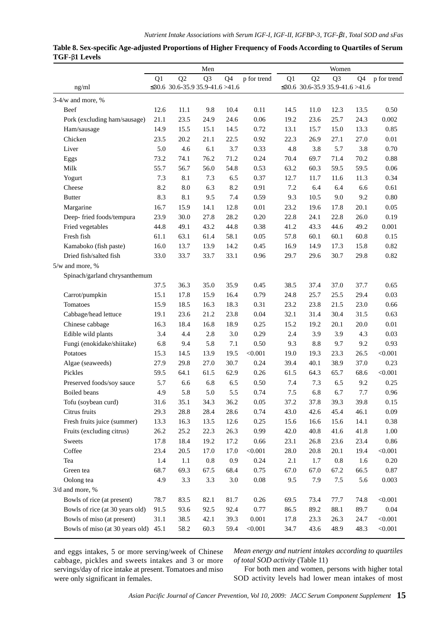|                                 |                |                                       | Men            |      | Women       |                |                                       |                |      |             |
|---------------------------------|----------------|---------------------------------------|----------------|------|-------------|----------------|---------------------------------------|----------------|------|-------------|
|                                 | Q <sub>1</sub> | Q2                                    | Q <sub>3</sub> | Q4   | p for trend | Q <sub>1</sub> | Q2                                    | Q <sub>3</sub> | Q4   | p for trend |
| ng/ml                           |                | $\leq$ 30.6 30.6-35.9 35.9-41.6 >41.6 |                |      |             |                | $\leq$ 30.6 30.6-35.9 35.9-41.6 >41.6 |                |      |             |
| $3-4/w$ and more, %             |                |                                       |                |      |             |                |                                       |                |      |             |
| Beef                            | 12.6           | 11.1                                  | 9.8            | 10.4 | 0.11        | 14.5           | 11.0                                  | 12.3           | 13.5 | 0.50        |
| Pork (excluding ham/sausage)    | 21.1           | 23.5                                  | 24.9           | 24.6 | 0.06        | 19.2           | 23.6                                  | 25.7           | 24.3 | 0.002       |
| Ham/sausage                     | 14.9           | 15.5                                  | 15.1           | 14.5 | 0.72        | 13.1           | 15.7                                  | 15.0           | 13.3 | 0.85        |
| Chicken                         | 23.5           | 20.2                                  | 21.1           | 22.5 | 0.92        | 22.3           | 26.9                                  | 27.1           | 27.0 | $0.01\,$    |
| Liver                           | 5.0            | 4.6                                   | 6.1            | 3.7  | 0.33        | 4.8            | 3.8                                   | 5.7            | 3.8  | 0.70        |
| Eggs                            | 73.2           | 74.1                                  | 76.2           | 71.2 | 0.24        | 70.4           | 69.7                                  | 71.4           | 70.2 | 0.88        |
| Milk                            | 55.7           | 56.7                                  | 56.0           | 54.8 | 0.53        | 63.2           | 60.3                                  | 59.5           | 59.5 | 0.06        |
| Yogurt                          | 7.3            | 8.1                                   | 7.3            | 6.5  | 0.37        | 12.7           | 11.7                                  | 11.6           | 11.3 | 0.34        |
| Cheese                          | 8.2            | 8.0                                   | 6.3            | 8.2  | 0.91        | 7.2            | 6.4                                   | 6.4            | 6.6  | 0.61        |
| <b>Butter</b>                   | 8.3            | 8.1                                   | 9.5            | 7.4  | 0.59        | 9.3            | 10.5                                  | 9.0            | 9.2  | $0.80\,$    |
| Margarine                       | 16.7           | 15.9                                  | 14.1           | 12.8 | 0.01        | 23.2           | 19.6                                  | 17.8           | 20.1 | 0.05        |
| Deep- fried foods/tempura       | 23.9           | 30.0                                  | 27.8           | 28.2 | 0.20        | 22.8           | 24.1                                  | 22.8           | 26.0 | 0.19        |
| Fried vegetables                | 44.8           | 49.1                                  | 43.2           | 44.8 | 0.38        | 41.2           | 43.3                                  | 44.6           | 49.2 | 0.001       |
| Fresh fish                      | 61.1           | 63.1                                  | 61.4           | 58.1 | 0.05        | 57.8           | 60.1                                  | 60.1           | 60.8 | 0.15        |
| Kamaboko (fish paste)           | 16.0           | 13.7                                  | 13.9           | 14.2 | 0.45        | 16.9           | 14.9                                  | 17.3           | 15.8 | 0.82        |
| Dried fish/salted fish          | 33.0           | 33.7                                  | 33.7           | 33.1 | 0.96        | 29.7           | 29.6                                  | 30.7           | 29.8 | 0.82        |
| 5/w and more, %                 |                |                                       |                |      |             |                |                                       |                |      |             |
| Spinach/garland chrysanthemum   |                |                                       |                |      |             |                |                                       |                |      |             |
|                                 | 37.5           | 36.3                                  | 35.0           | 35.9 | 0.45        | 38.5           | 37.4                                  | 37.0           | 37.7 | 0.65        |
| Carrot/pumpkin                  | 15.1           | 17.8                                  | 15.9           | 16.4 | 0.79        | 24.8           | 25.7                                  | 25.5           | 29.4 | 0.03        |
| Tomatoes                        | 15.9           | 18.5                                  | 16.3           | 18.3 | 0.31        | 23.2           | 23.8                                  | 21.5           | 23.0 | 0.66        |
| Cabbage/head lettuce            | 19.1           | 23.6                                  | 21.2           | 23.8 | 0.04        | 32.1           | 31.4                                  | 30.4           | 31.5 | 0.63        |
| Chinese cabbage                 | 16.3           | 18.4                                  | 16.8           | 18.9 | 0.25        | 15.2           | 19.2                                  | 20.1           | 20.0 | $0.01\,$    |
| Edible wild plants              | 3.4            | 4.4                                   | 2.8            | 3.0  | 0.29        | 2.4            | 3.9                                   | 3.9            | 4.3  | 0.03        |
| Fungi (enokidake/shiitake)      | 6.8            | 9.4                                   | 5.8            | 7.1  | 0.50        | 9.3            | 8.8                                   | 9.7            | 9.2  | 0.93        |
| Potatoes                        | 15.3           | 14.5                                  | 13.9           | 19.5 | < 0.001     | 19.0           | 19.3                                  | 23.3           | 26.5 | < 0.001     |
| Algae (seaweeds)                | 27.9           | 29.8                                  | 27.0           | 30.7 | 0.24        | 39.4           | 40.1                                  | 38.9           | 37.0 | 0.23        |
| Pickles                         | 59.5           | 64.1                                  | 61.5           | 62.9 | 0.26        | 61.5           | 64.3                                  | 65.7           | 68.6 | < 0.001     |
| Preserved foods/soy sauce       | 5.7            | 6.6                                   | 6.8            | 6.5  | 0.50        | 7.4            | 7.3                                   | 6.5            | 9.2  | 0.25        |
| Boiled beans                    | 4.9            | 5.8                                   | 5.0            | 5.5  | 0.74        | 7.5            | 6.8                                   | 6.7            | 7.7  | 0.96        |
| Tofu (soybean curd)             | 31.6           | 35.1                                  | 34.3           | 36.2 | 0.05        | 37.2           | 37.8                                  | 39.3           | 39.8 | 0.15        |
| Citrus fruits                   | 29.3           | 28.8                                  | 28.4           | 28.6 | 0.74        | 43.0           | 42.6                                  | 45.4           | 46.1 | 0.09        |
| Fresh fruits juice (summer)     | 13.3           | 16.3                                  | 13.5           | 12.6 | 0.25        | 15.6           | 16.6                                  | 15.6           | 14.1 | 0.38        |
| Fruits (excluding citrus)       | 26.2           | 25.2                                  | 22.3           | 26.3 | 0.99        | 42.0           | 40.8                                  | 41.6           | 41.8 | 1.00        |
| Sweets                          | 17.8           | 18.4                                  | 19.2           | 17.2 | 0.66        | 23.1           | 26.8                                  | 23.6           | 23.4 | 0.86        |
| Coffee                          | 23.4           | 20.5                                  | 17.0           | 17.0 | < 0.001     | 28.0           | 20.8                                  | 20.1           | 19.4 | < 0.001     |
| Tea                             | 1.4            | $1.1\,$                               | $0.8\,$        | 0.9  | 0.24        | 2.1            | 1.7                                   | $0.8\,$        | 1.6  | 0.20        |
| Green tea                       | 68.7           | 69.3                                  | 67.5           | 68.4 | 0.75        | 67.0           | 67.0                                  | 67.2           | 66.5 | $0.87\,$    |
| Oolong tea                      | 4.9            | 3.3                                   | 3.3            | 3.0  | $0.08\,$    | 9.5            | 7.9                                   | 7.5            | 5.6  | 0.003       |
| 3/d and more, %                 |                |                                       |                |      |             |                |                                       |                |      |             |
| Bowls of rice (at present)      | 78.7           | 83.5                                  | 82.1           | 81.7 | 0.26        | 69.5           | 73.4                                  | 77.7           | 74.8 | < 0.001     |
| Bowls of rice (at 30 years old) | 91.5           | 93.6                                  | 92.5           | 92.4 | 0.77        | 86.5           | 89.2                                  | 88.1           | 89.7 | $0.04\,$    |
| Bowls of miso (at present)      | 31.1           | 38.5                                  | 42.1           | 39.3 | 0.001       | 17.8           | 23.3                                  | 26.3           | 24.7 | < 0.001     |
| Bowls of miso (at 30 years old) | 45.1           | 58.2                                  | 60.3           | 59.4 | < 0.001     | 34.7           | 43.6                                  | 48.9           | 48.3 | < 0.001     |
|                                 |                |                                       |                |      |             |                |                                       |                |      |             |

## **Table 8. Sex-specific Age-adjusted Proportions of Higher Frequency of Foods According to Quartiles of Serum TGF-**β**1 Levels**

and eggs intakes, 5 or more serving/week of Chinese cabbage, pickles and sweets intakes and 3 or more servings/day of rice intake at present. Tomatoes and miso were only significant in females.

*Mean energy and nutrient intakes according to quartiles of total SOD activity* (Table 11)

For both men and women, persons with higher total SOD activity levels had lower mean intakes of most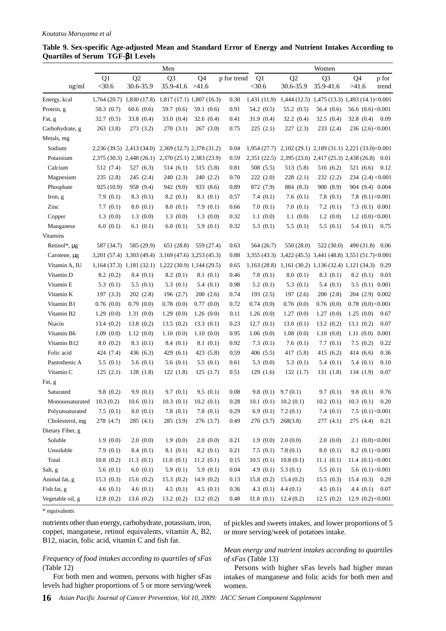|                   |             |                                                         | Men                  |                            |             |                       |                                                           | Women                                                |                         |          |
|-------------------|-------------|---------------------------------------------------------|----------------------|----------------------------|-------------|-----------------------|-----------------------------------------------------------|------------------------------------------------------|-------------------------|----------|
|                   | Q1          | Q <sub>2</sub>                                          | Q <sub>3</sub>       | Q4                         | p for trend | Q1                    | Q2                                                        | Q <sub>3</sub>                                       | Q4                      | p for    |
| ng/ml             | $<$ 30.6    | 30.6-35.9                                               | $35.9 - 41.6 > 41.6$ |                            |             | $<$ 30.6              | 30.6-35.9                                                 | 35.9-41.6                                            | >41.6                   | trend    |
| Energy, kcal      |             | 1,764 (20.7) 1,830 (17.8)                               |                      | $1,817(17.1)$ 1,807 (16.3) | 0.30        |                       | 1,431 (11.9) 1,444 (12.5) 1,475 (13.3) 1,493 (14.1)<0.001 |                                                      |                         |          |
| Protein, g        | 58.3 (0.7)  | 60.6(0.6)                                               | 59.7 (0.6)           | 59.1 (0.6)                 | 0.91        | 54.2 (0.5)            | 55.2 (0.5)                                                | 56.4(0.6)                                            | 56.6 $(0.6)$ < 0.001    |          |
| Fat, g            | 32.7(0.5)   | 33.8 $(0.4)$                                            | 33.0 (0.4)           | 32.6(0.4)                  | 0.41        | 31.9(0.4)             | 32.2(0.4)                                                 | 32.5(0.4)                                            | 32.8(0.4)               | 0.09     |
| Carbohydrate, g   | 263(3.8)    | 273 (3.2)                                               | 270(3.1)             | 267(3.0)                   | 0.75        | 225(2.1)              | 227(2.3)                                                  | 233 (2.4)                                            | $236$ $(2.6) < 0.001$   |          |
| Metals, mg        |             |                                                         |                      |                            |             |                       |                                                           |                                                      |                         |          |
| Sodium            |             | 2,236 (39.5) 2,413 (34.0) 2,369 (32.7) 2,378 (31.2)     |                      |                            | 0.04        | 1,954(27.7)           |                                                           | 2,102 (29.1) 2,189 (31.1) 2,221 (33.0)<0.001         |                         |          |
| Potassium         |             | $2,375(30.3)$ $2,448(26.1)$                             |                      | 2,370 (25.1) 2,383 (23.9)  | 0.59        |                       | 2,351 (22.5) 2,395 (23.6) 2,417 (25.3) 2,438 (26.8)       |                                                      |                         | 0.01     |
| Calcium           | 512 (7.4)   | 527 (6.3)                                               | 514(6.1)             | 515 (5.8)                  | 0.81        | 508 (5.5)             | 513 (5.8)                                                 | 516 (6.2)                                            | 521 (6.6)               | 0.12     |
| Magnesium         | 235(2.8)    | 245 (2.4)                                               | 240(2.3)             | 240(2.2)                   | 0.70        | 222(2.0)              | 228(2.1)                                                  | 232 (2.2)                                            | $234$ $(2.4)$ $< 0.001$ |          |
| Phosphate         | 925 (10.9)  | 958 (9.4)                                               | 942 (9.0)            | 933 (8.6)                  | 0.89        | 872 (7.9)             | 884 (8.3)                                                 | 900 (8.9)                                            | 904 (9.4) 0.004         |          |
| Iron, g           | 7.9(0.1)    | 8.3(0.1)                                                | 8.2(0.1)             | 8.1(0.1)                   | 0.57        | 7.4(0.1)              | 7.6 $(0.1)$                                               | 7.8(0.1)                                             | 7.8 $(0.1)$ < 0.001     |          |
| Zinc              | 7.7(0.1)    | 8.0(0.1)                                                | 8.0(0.1)             | 7.9(0.1)                   | 0.66        | 7.0(0.1)              | 7.0(0.1)                                                  | 7.2(0.1)                                             | 7.3 (0.1) 0.001         |          |
| Copper            | 1.3(0.0)    | 1.3(0.0)                                                | 1.3(0.0)             | 1.3(0.0)                   | 0.32        | 1.1(0.0)              | 1.1(0.0)                                                  | 1.2(0.0)                                             | 1.2 $(0.0)$ < 0.001     |          |
| Manganese         | 6.0(0.1)    | 6.1(0.1)                                                | 6.0(0.1)             | 5.9(0.1)                   | 0.32        | 5.3 $(0.1)$           | 5.5(0.1)                                                  | 5.5(0.1)                                             | 5.4(0.1)                | 0.75     |
| <b>Vitamins</b>   |             |                                                         |                      |                            |             |                       |                                                           |                                                      |                         |          |
| Retinol*, µg      | 587 (34.7)  | 585 (29.9)                                              | 651 (28.8)           | 559 (27.4)                 | 0.63        | 564 (26.7)            | 550 (28.0)                                                | 522 (30.0)                                           | 490 (31.8)              | 0.06     |
| Carotene, $\mu$ g |             | 3,201 (57.4) 3,303 (49.4)                               |                      | 3,169 (47.6) 3,253 (45.3)  | 0.88        | 3,355(43.3)           |                                                           | $3,422$ (45.5) $3,441$ (48.8) $3,551$ (51.7) < 0.001 |                         |          |
| Vitamin A, IU     |             | $1,164(37.3)$ $1,181(32.1)$ $1,222(30.9)$ $1,144(29.5)$ |                      |                            | 0.65        |                       | $1,163(28.8)$ $1,161(30.2)$ $1,136(32.4)$ $1,121(34.3)$   |                                                      |                         | 0.29     |
| Vitamin D         | 8.2(0.2)    | 8.4(0.1)                                                | 8.2(0.1)             | 8.1(0.1)                   | 0.46        | 7.8(0.1)              | 8.0(0.1)                                                  | 8.3(0.1)                                             | 8.2(0.1)                | 0.03     |
| Vitamin E         | 5.3(0.1)    | 5.5(0.1)                                                | 5.3 $(0.1)$          | 5.4(0.1)                   | 0.98        | 5.2 $(0.1)$           | 5.3(0.1)                                                  | 5.4(0.1)                                             | 5.5 (0.1) 0.001         |          |
| Vitamin K         | 197(3.3)    | 202(2.8)                                                | 196(2.7)             | 200(2.6)                   | 0.74        | 193(2.5)              | 197(2.6)                                                  | 200(2.8)                                             | 204 (2.9) 0.002         |          |
| Vitamin B1        | 0.76(0.0)   | 0.79(0.0)                                               | 0.78(0.0)            | 0.77(0.0)                  | 0.72        | 0.74(0.0)             | 0.76(0.0)                                                 | 0.76(0.0)                                            | $0.78$ $(0.0)$ < 0.001  |          |
| Vitamin B2        | 1.29(0.0)   | 1.31(0.0)                                               | 1.29(0.0)            | 1.26(0.0)                  | 0.11        | 1.26(0.0)             | 1.27(0.0)                                                 | 1.27(0.0)                                            | 1.25(0.0)               | 0.67     |
| Niacin            | 13.4(0.2)   | 13.8(0.2)                                               | 13.5(0.2)            | 13.3(0.1)                  | 0.23        | 12.7(0.1)             | 13.0(0.1)                                                 | 13.2(0.2)                                            | 13.1(0.2)               | 0.07     |
| Vitamin B6        | 1.09(0.0)   | 1.12(0.0)                                               | 1.10(0.0)            | 1.10(0.0)                  | 0.95        | 1.06(0.0)             | 1.08(0.0)                                                 | 1.10(0.0)                                            | 1.11(0.0)               | 0.001    |
| Vitamin B12       | 8.0(0.2)    | 8.3(0.1)                                                | 8.4(0.1)             | 8.1(0.1)                   | 0.92        | 7.3 $(0.1)$           | 7.6 $(0.1)$                                               | 7.7(0.1)                                             | 7.5(0.2)                | 0.22     |
| Folic acid        | 424 (7.4)   | 436 (6.3)                                               | 429 $(6.1)$          | 423 (5.8)                  | 0.59        | 406(5.5)              | 417 (5.8)                                                 | 415 (6.2)                                            | 414 (6.6)               | 0.36     |
| Pantothenic A     | 5.5(0.1)    | 5.6(0.1)                                                | 5.6(0.1)             | 5.5(0.1)                   | 0.61        | 5.3 $(0.0)$           | 5.3(0.1)                                                  | 5.4(0.1)                                             | 5.4(0.1)                | 0.10     |
| Vitamin C         | 125(2.1)    | 128(1.8)                                                | 122(1.8)             | 125(1.7)                   | 0.51        | 129(1.6)              | 132(1.7)                                                  | 131 (1.8)                                            | 134 (1.9)               | 0.07     |
| Fat, g            |             |                                                         |                      |                            |             |                       |                                                           |                                                      |                         |          |
| Saturated         | 9.8(0.2)    | 9.9(0.1)                                                | 9.7(0.1)             | 9.5(0.1)                   | 0.08        | $9.8(0.1)$ $9.7(0.1)$ |                                                           | 9.7(0.1)                                             | 9.8(0.1)                | 0.76     |
| Monounsaturated   | 10.3(0.2)   | 10.6(0.1)                                               | 10.3(0.1)            | 10.2(0.1)                  | $0.28\,$    | 10.1(0.1)             | 10.2(0.1)                                                 | 10.2(0.1)                                            | 10.3(0.1)               | $0.20\,$ |
| Polyunsaturated   | 7.5(0.1)    | 8.0(0.1)                                                | 7.8(0.1)             | 7.8(0.1)                   | 0.29        | 6.9(0.1)              | 7.2(0.1)                                                  | 7.4(0.1)                                             | 7.5 $(0.1)$ < 0.001     |          |
| Cholesterol, mg   | 278 (4.7)   | 285(4.1)                                                | 285 (3.9)            | 276 (3.7)                  | 0.49        | 270 (3.7)             | 268(3.8)                                                  | 277(4.1)                                             | 275(4.4)                | 0.21     |
| Dietary Fiber, g  |             |                                                         |                      |                            |             |                       |                                                           |                                                      |                         |          |
| Soluble           | 1.9(0.0)    | 2.0(0.0)                                                | 1.9(0.0)             | 2.0(0.0)                   | 0.21        | 1.9(0.0)              | 2.0(0.0)                                                  | 2.0(0.0)                                             | 2.1 (0.0) < 0.001       |          |
| Unsoluble         | 7.9(0.1)    | 8.4(0.1)                                                | 8.1(0.1)             | 8.2(0.1)                   | 0.21        | 7.5(0.1)              | 7.8(0.1)                                                  | 8.0(0.1)                                             | 8.2 $(0.1)$ <0.001      |          |
| Total             | 10.8(0.2)   | 11.3(0.1)                                               | 11.0(0.1)            | 11.2(0.1)                  | 0.15        | 10.5(0.1)             | 10.8(0.1)                                                 | 11.1(0.1)                                            | 11.4 $(0.1)$ < 0.001    |          |
| Salt, g           | 5.6(0.1)    | 6.0(0.1)                                                | 5.9(0.1)             | 5.9(0.1)                   | 0.04        | 4.9 $(0.1)$           | 5.3(0.1)                                                  | 5.5(0.1)                                             | 5.6 $(0.1)$ < 0.001     |          |
| Animal fat, g     | 15.3(0.3)   | 15.6(0.2)                                               | 15.3(0.2)            | 14.9(0.2)                  | 0.13        | 15.8(0.2)             | 15.4(0.2)                                                 | 15.5(0.3)                                            | 15.4(0.3)               | 0.29     |
| Fish fat, g       | 4.6 $(0.1)$ | 4.6 $(0.1)$                                             | 4.5(0.1)             | 4.5 $(0.1)$                | 0.36        | 4.3 $(0.1)$           | 4.4(0.1)                                                  | 4.5(0.1)                                             | 4.4 $(0.1)$             | 0.07     |
| Vegetable oil, g  | 12.8(0.2)   | 13.6(0.2)                                               | 13.2(0.2)            | 13.2(0.2)                  | 0.48        | 11.8(0.1)             | 12.4(0.2)                                                 | 12.5(0.2)                                            | 12.9 $(0.2)$ < 0.001    |          |

## **Table 9. Sex-specific Age-adjusted Mean and Standard Error of Energy and Nutrient Intakes According to Quartiles of Serum TGF-**β**1 Levels**

\* equivalents

nutrients other than energy, carbohydrate, potassium, iron, copper, manganese, retinol equivalents, vitamin A, B2, B12, niacin, folic acid, vitamin C and fish fat.

of pickles and sweets intakes, and lower proportions of 5 or more serving/week of potatoes intake.

*Frequency of food intakes according to quartiles of sFas* (Table 12)

For both men and women, persons with higher sFas levels had higher proportions of 5 or more serving/week

#### *Mean energy and nutrient intakes according to quartiles of sFas* (Table 13)

Persons with higher sFas levels had higher mean intakes of manganese and folic acids for both men and women.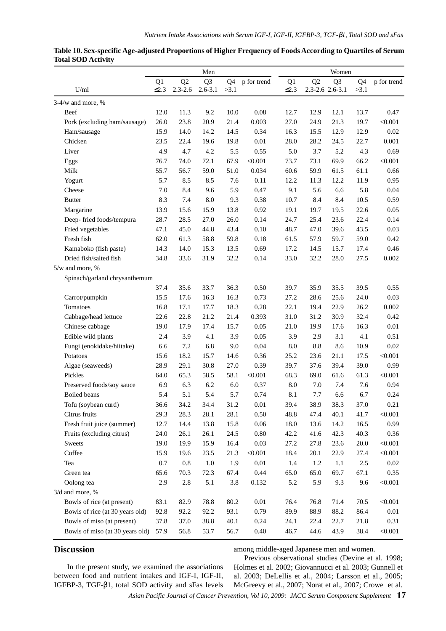|                                 | Men              |                               |                               |            |             | Women            |                |                                   |            |             |
|---------------------------------|------------------|-------------------------------|-------------------------------|------------|-------------|------------------|----------------|-----------------------------------|------------|-------------|
| U/ml                            | Q1<br>$\leq$ 2.3 | Q <sub>2</sub><br>$2.3 - 2.6$ | Q <sub>3</sub><br>$2.6 - 3.1$ | Q4<br>>3.1 | p for trend | Q1<br>$\leq$ 2.3 | Q <sub>2</sub> | Q <sub>3</sub><br>2.3-2.6 2.6-3.1 | Q4<br>>3.1 | p for trend |
| $3-4/w$ and more, %             |                  |                               |                               |            |             |                  |                |                                   |            |             |
| Beef                            | 12.0             | 11.3                          | 9.2                           | 10.0       | 0.08        | 12.7             | 12.9           | 12.1                              | 13.7       | 0.47        |
| Pork (excluding ham/sausage)    | 26.0             | 23.8                          | 20.9                          | 21.4       | 0.003       | 27.0             | 24.9           | 21.3                              | 19.7       | < 0.001     |
| Ham/sausage                     | 15.9             | 14.0                          | 14.2                          | 14.5       | 0.34        | 16.3             | 15.5           | 12.9                              | 12.9       | $0.02\,$    |
| Chicken                         | 23.5             | 22.4                          | 19.6                          | 19.8       | 0.01        | 28.0             | 28.2           | 24.5                              | 22.7       | 0.001       |
| Liver                           | 4.9              | 4.7                           | 4.2                           | 5.5        | 0.55        | 5.0              | 3.7            | 5.2                               | 4.3        | 0.69        |
| Eggs                            | 76.7             | 74.0                          | 72.1                          | 67.9       | < 0.001     | 73.7             | 73.1           | 69.9                              | 66.2       | < 0.001     |
| Milk                            | 55.7             | 56.7                          | 59.0                          | 51.0       | 0.034       | 60.6             | 59.9           | 61.5                              | 61.1       | 0.66        |
| Yogurt                          | 5.7              | 8.5                           | 8.5                           | 7.6        | 0.11        | 12.2             | 11.3           | 12.2                              | 11.9       | 0.95        |
| Cheese                          | 7.0              | 8.4                           | 9.6                           | 5.9        | 0.47        | 9.1              | 5.6            | 6.6                               | 5.8        | 0.04        |
| <b>Butter</b>                   | 8.3              | 7.4                           | 8.0                           | 9.3        | 0.38        | 10.7             | 8.4            | 8.4                               | 10.5       | 0.59        |
| Margarine                       | 13.9             | 15.6                          | 15.9                          | 13.8       | 0.92        | 19.1             | 19.7           | 19.5                              | 22.6       | 0.05        |
| Deep-fried foods/tempura        | 28.7             | 28.5                          | 27.0                          | 26.0       | 0.14        | 24.7             | 25.4           | 23.6                              | 22.4       | 0.14        |
| Fried vegetables                | 47.1             | 45.0                          | 44.8                          | 43.4       | 0.10        | 48.7             | 47.0           | 39.6                              | 43.5       | 0.03        |
| Fresh fish                      | 62.0             | 61.3                          | 58.8                          | 59.8       | 0.18        | 61.5             | 57.9           | 59.7                              | 59.0       | 0.42        |
| Kamaboko (fish paste)           | 14.3             | 14.0                          | 15.3                          | 13.5       | 0.69        | 17.2             | 14.5           | 15.7                              | 17.4       | 0.46        |
| Dried fish/salted fish          | 34.8             | 33.6                          | 31.9                          | 32.2       | 0.14        | 33.0             | 32.2           | 28.0                              | 27.5       | 0.002       |
| 5/w and more, %                 |                  |                               |                               |            |             |                  |                |                                   |            |             |
| Spinach/garland chrysanthemum   |                  |                               |                               |            |             |                  |                |                                   |            |             |
|                                 | 37.4             | 35.6                          | 33.7                          | 36.3       | 0.50        | 39.7             | 35.9           | 35.5                              | 39.5       | 0.55        |
| Carrot/pumpkin                  | 15.5             | 17.6                          | 16.3                          | 16.3       | 0.73        | 27.2             | 28.6           | 25.6                              | 24.0       | 0.03        |
| Tomatoes                        | 16.8             | 17.1                          | 17.7                          | 18.3       | 0.28        | 22.1             | 19.4           | 22.9                              | 26.2       | 0.002       |
| Cabbage/head lettuce            | 22.6             | 22.8                          | 21.2                          | 21.4       | 0.393       | 31.0             | 31.2           | 30.9                              | 32.4       | 0.42        |
| Chinese cabbage                 | 19.0             | 17.9                          | 17.4                          | 15.7       | 0.05        | 21.0             | 19.9           | 17.6                              | 16.3       | $0.01\,$    |
| Edible wild plants              | 2.4              | 3.9                           | 4.1                           | 3.9        | 0.05        | 3.9              | 2.9            | 3.1                               | 4.1        | 0.51        |
| Fungi (enokidake/hiitake)       | 6.6              | 7.2                           | 6.8                           | 9.0        | 0.04        | 8.0              | 8.8            | 8.6                               | 10.9       | $0.02\,$    |
| Potatoes                        | 15.6             | 18.2                          | 15.7                          | 14.6       | 0.36        | 25.2             | 23.6           | 21.1                              | 17.5       | < 0.001     |
| Algae (seaweeds)                | 28.9             | 29.1                          | 30.8                          | 27.0       | 0.39        | 39.7             | 37.6           | 39.4                              | 39.0       | 0.99        |
| Pickles                         | 64.0             | 65.3                          | 58.5                          | 58.1       | < 0.001     | 68.3             | 69.0           | 61.6                              | 61.3       | < 0.001     |
| Preserved foods/soy sauce       | 6.9              | 6.3                           | 6.2                           | 6.0        | 0.37        | $\ \, 8.0$       | 7.0            | 7.4                               | 7.6        | 0.94        |
| Boiled beans                    | 5.4              | 5.1                           | 5.4                           | 5.7        | 0.74        | 8.1              | 7.7            | 6.6                               | 6.7        | 0.24        |
| Tofu (soybean curd)             | 36.6             | 34.2                          | 34.4                          | 31.2       | $0.01\,$    | 39.4             | 38.9           | 38.3                              | 37.0       | 0.21        |
| Citrus fruits                   | 29.3             | 28.3                          | 28.1                          | 28.1       | 0.50        | 48.8             | 47.4           | 40.1                              | 41.7       | < 0.001     |
| Fresh fruit juice (summer)      | 12.7             | 14.4                          | 13.8                          | 15.8       | $0.06\,$    | 18.0             | 13.6           | 14.2                              | 16.5       | 0.99        |
| Fruits (excluding citrus)       | 24.0             | 26.1                          | 26.1                          | 24.5       | $0.80\,$    | 42.2             | 41.6           | 42.3                              | 40.3       | 0.36        |
| Sweets                          | 19.0             | 19.9                          | 15.9                          | 16.4       | 0.03        | 27.2             | 27.8           | 23.6                              | 20.0       | < 0.001     |
| Coffee                          | 15.9             | 19.6                          | 23.5                          | 21.3       | < 0.001     | 18.4             | 20.1           | 22.9                              | 27.4       | < 0.001     |
| Tea                             | 0.7              | $0.8\,$                       | 1.0                           | 1.9        | $0.01\,$    | 1.4              | 1.2            | 1.1                               | 2.5        | $0.02\,$    |
| Green tea                       | 65.6             | 70.3                          | 72.3                          | 67.4       | 0.44        | 65.0             | 65.0           | 69.7                              | 67.1       | 0.35        |
| Oolong tea                      | 2.9              | $2.8\,$                       | 5.1                           | 3.8        | 0.132       | 5.2              | 5.9            | 9.3                               | 9.6        | < 0.001     |
| 3/d and more, %                 |                  |                               |                               |            |             |                  |                |                                   |            |             |
| Bowls of rice (at present)      | 83.1             | 82.9                          | 78.8                          | 80.2       | 0.01        | 76.4             | 76.8           | 71.4                              | 70.5       | < 0.001     |
| Bowls of rice (at 30 years old) | 92.8             | 92.2                          | 92.2                          | 93.1       | 0.79        | 89.9             | 88.9           | 88.2                              | 86.4       | 0.01        |
| Bowls of miso (at present)      | 37.8             | 37.0                          | 38.8                          | 40.1       | 0.24        | 24.1             | 22.4           | 22.7                              | 21.8       | 0.31        |
| Bowls of miso (at 30 years old) | 57.9             | 56.8                          | 53.7                          | 56.7       | 0.40        | 46.7             | 44.6           | 43.9                              | 38.4       | < 0.001     |

## **Table 10. Sex-specific Age-adjusted Proportions of Higher Frequency of Foods According to Quartiles of Serum Total SOD Activity**

#### **Discussion**

among middle-aged Japanese men and women.

 In the present study, we examined the associations between food and nutrient intakes and IGF-I, IGF-II, IGFBP-3, TGF-β1, total SOD activity and sFas levels

Previous observational studies (Devine et al. 1998; Holmes et al. 2002; Giovannucci et al. 2003; Gunnell et al. 2003; DeLellis et al., 2004; Larsson et al., 2005; McGreevy et al., 2007; Norat et al., 2007; Crowe et al.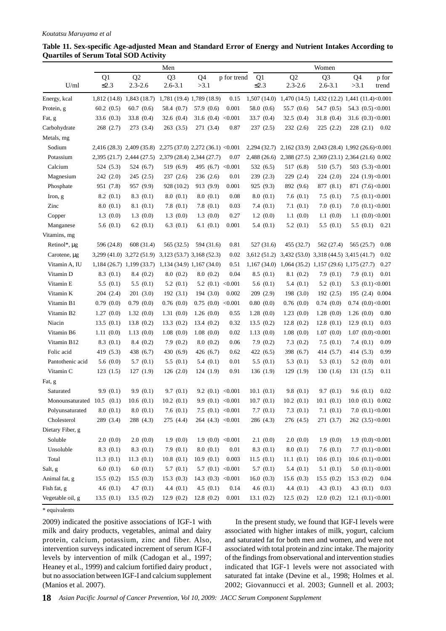|                            |            |                             | Men                                  |                           |             |             |                                                     | Women                                        |                        |       |
|----------------------------|------------|-----------------------------|--------------------------------------|---------------------------|-------------|-------------|-----------------------------------------------------|----------------------------------------------|------------------------|-------|
|                            | Q1         | Q <sub>2</sub>              | Q <sub>3</sub>                       | Q4                        | p for trend | Q1          | Q2                                                  | Q <sub>3</sub>                               | Q4                     | p for |
| U/ml                       | $\leq$ 2.3 | $2.3 - 2.6$                 | $2.6 - 3.1$                          | >3.1                      |             | $\leq$ 2.3  | $2.3 - 2.6$                                         | $2.6 - 3.1$                                  | >3.1                   | trend |
| Energy, kcal               |            | 1,812 (14.8) 1,843 (18.7)   |                                      | 1,781 (19.4) 1,789 (18.9) | 0.15        | 1,507(14.0) | $1,470$ (14.5) $1,432$ (12.2) $1,441$ (11.4)<0.001  |                                              |                        |       |
| Protein, g                 | 60.2(0.5)  | 60.7(0.6)                   | 58.4 (0.7)                           | 57.9 (0.6)                | 0.001       | 58.0 (0.6)  | 55.7 (0.6)                                          | 54.7 (0.5)                                   | 54.3 $(0.5)$ < 0.001   |       |
| Fat, g                     | 33.6(0.3)  | 33.8(0.4)                   | 32.6(0.4)                            | 31.6 $(0.4)$ <0.001       |             | 33.7 (0.4)  | 32.5(0.4)                                           | 31.8(0.4)                                    | 31.6 $(0.3)$ < 0.001   |       |
| Carbohydrate               | 268 (2.7)  | 273 (3.4)                   | 263(3.5)                             | 271 (3.4)                 | 0.87        | 237(2.5)    | 232(2.6)                                            | 225(2.2)                                     | 228(2.1)               | 0.02  |
| Metals, mg                 |            |                             |                                      |                           |             |             |                                                     |                                              |                        |       |
| Sodium                     |            | 2,416 (28.3) 2,409 (35.8)   | $2,275$ (37.0) $2,272$ (36.1) <0.001 |                           |             | 2,294(32.7) |                                                     | 2,162 (33.9) 2,043 (28.4) 1,992 (26.6)<0.001 |                        |       |
| Potassium                  |            | $2,395(21.7)$ $2,444(27.5)$ | 2,379 (28.4) 2,344 (27.7)            |                           | 0.07        | 2,488(26.6) | 2,388 (27.5) 2,369 (23.1) 2,364 (21.6) 0.002        |                                              |                        |       |
| Calcium                    | 524 (5.3)  | 524 (6.7)                   | 519 (6.9)                            | 495 $(6.7)$ <0.001        |             | 532 (6.5)   | 517 (6.8)                                           | 510 (5.7)                                    | 503 $(5.3)$ < 0.001    |       |
| Magnesium                  | 242(2.0)   | 245(2.5)                    | 237(2.6)                             | 236(2.6)                  | 0.01        | 239(2.3)    | 229 (2.4)                                           | 224(2.0)                                     | 224 $(1.9)$ < 0.001    |       |
| Phosphate                  | 951 (7.8)  | 957 (9.9)                   | 928 (10.2)                           | 913 (9.9)                 | 0.001       | 925 (9.3)   | 892 (9.6)                                           | 877 (8.1)                                    | 871 $(7.6) < 0.001$    |       |
| Iron, g                    | 8.2(0.1)   | 8.3(0.1)                    | 8.0(0.1)                             | 8.0(0.1)                  | 0.08        | 8.0(0.1)    | 7.6 $(0.1)$                                         | 7.5(0.1)                                     | 7.5 $(0.1)$ < 0.001    |       |
| Zinc                       | 8.0(0.1)   | 8.1(0.1)                    | 7.8(0.1)                             | 7.8(0.1)                  | 0.03        | 7.4 $(0.1)$ | 7.1(0.1)                                            | 7.0(0.1)                                     | 7.0 $(0.1)$ < 0.001    |       |
| Copper                     | 1.3(0.0)   | 1.3(0.0)                    | 1.3(0.0)                             | 1.3(0.0)                  | 0.27        | 1.2(0.0)    | 1.1(0.0)                                            | 1.1(0.0)                                     | 1.1 $(0.0)$ < 0.001    |       |
| Manganese                  | 5.6(0.1)   | 6.2(0.1)                    | 6.3(0.1)                             | 6.1(0.1)                  | 0.001       | 5.4 $(0.1)$ | 5.2(0.1)                                            | 5.5(0.1)                                     | 5.5(0.1)               | 0.21  |
| Vitamins, mg               |            |                             |                                      |                           |             |             |                                                     |                                              |                        |       |
| Retinol*, µg               | 596 (24.8) | 608 (31.4)                  | 565 (32.5)                           | 594 (31.6)                | 0.81        | 527 (31.6)  | 455 (32.7)                                          | 562 (27.4)                                   | 565 (25.7)             | 0.08  |
| Carotene, µg               |            | 3,299 (41.0) 3,272 (51.9)   | 3,123 (53.7) 3,168 (52.3)            |                           | 0.02        | 3,612(51.2) |                                                     | 3,432 (53.0) 3,318 (44.5) 3,415 (41.7)       |                        | 0.02  |
| Vitamin A, IU              |            | $1,184(26.7)$ 1,199 (33.7)  | $1,134(34.9)$ $1,167(34.0)$          |                           | 0.51        |             | 1,167 (34.0) 1,064 (35.2) 1,157 (29.6) 1,175 (27.7) |                                              |                        | 0.27  |
| Vitamin D                  | 8.3(0.1)   | 8.4(0.2)                    | 8.0(0.2)                             | 8.0(0.2)                  | 0.04        | 8.5(0.1)    | 8.1(0.2)                                            | 7.9(0.1)                                     | 7.9(0.1)               | 0.01  |
| Vitamin E                  | 5.5(0.1)   | 5.5(0.1)                    | 5.2(0.1)                             | 5.2 $(0.1)$ <0.001        |             | 5.6(0.1)    | 5.4(0.1)                                            | 5.2(0.1)                                     | 5.3 $(0.1)$ < 0.001    |       |
| Vitamin K                  | 204(2.4)   | 201(3.0)                    | 192(3.1)                             | 194 (3.0)                 | 0.002       | 209(2.9)    | 198 (3.0)                                           | 192(2.5)                                     | 195 (2.4) 0.004        |       |
| Vitamin B1                 | 0.79(0.0)  | 0.79(0.0)                   | 0.76(0.0)                            | $0.75$ $(0.0)$ $< 0.001$  |             | 0.80(0.0)   | 0.76(0.0)                                           | 0.74(0.0)                                    | 0.74(0.0) < 0.001      |       |
| Vitamin B2                 | 1.27(0.0)  | 1.32(0.0)                   | 1.31(0.0)                            | 1.26(0.0)                 | 0.55        | 1.28(0.0)   | 1.23(0.0)                                           | 1.28(0.0)                                    | 1.26(0.0)              | 0.80  |
| Niacin                     | 13.5(0.1)  | 13.8(0.2)                   | 13.3(0.2)                            | 13.4(0.2)                 | 0.32        | 13.5(0.2)   | 12.8(0.2)                                           | 12.8(0.1)                                    | 12.9(0.1)              | 0.03  |
| Vitamin B6                 | 1.11(0.0)  | 1.13(0.0)                   | 1.08(0.0)                            | 1.08(0.0)                 | 0.02        | 1.13(0.0)   | 1.08(0.0)                                           | 1.07(0.0)                                    | $1.07$ $(0.0) < 0.001$ |       |
| Vitamin B12                | 8.3(0.1)   | 8.4(0.2)                    | 7.9(0.2)                             | 8.0(0.2)                  | 0.06        | 7.9(0.2)    | 7.3(0.2)                                            | 7.5(0.1)                                     | 7.4(0.1)               | 0.09  |
| Folic acid                 | 419 (5.3)  | 438 (6.7)                   | 430 (6.9)                            | 426 $(6.7)$               | 0.62        | 422 (6.5)   | 398 (6.7)                                           | 414 (5.7)                                    | 414 (5.3)              | 0.99  |
| Pantothenic acid           | 5.6(0.0)   | 5.7(0.1)                    | 5.5(0.1)                             | 5.4(0.1)                  | 0.01        | 5.5(0.1)    | 5.3(0.1)                                            | 5.3 $(0.1)$                                  | 5.2(0.0)               | 0.01  |
| Vitamin C                  | 123(1.5)   | 127(1.9)                    | 126(2.0)                             | 124(1.9)                  | 0.91        | 136(1.9)    | 129(1.9)                                            | 130(1.6)                                     | 131(1.5)               | 0.11  |
| Fat, g                     |            |                             |                                      |                           |             |             |                                                     |                                              |                        |       |
| Saturated                  | 9.9(0.1)   | 9.9(0.1)                    | 9.7(0.1)                             | 9.2 $(0.1)$ <0.001        |             | 10.1(0.1)   | 9.8(0.1)                                            | 9.7(0.1)                                     | 9.6(0.1)               | 0.02  |
| Monounsaturated 10.5 (0.1) |            | 10.6(0.1)                   | 10.2(0.1)                            | 9.9 $(0.1)$ <0.001        |             | 10.7(0.1)   | 10.2(0.1)                                           | 10.1(0.1)                                    | 10.0 (0.1) 0.002       |       |
| Polyunsaturated            | 8.0(0.1)   | 8.0(0.1)                    | 7.6(0.1)                             | 7.5 $(0.1)$ <0.001        |             | 7.7(0.1)    | 7.3(0.1)                                            | 7.1(0.1)                                     | 7.0 $(0.1)$ < 0.001    |       |
| Cholesterol                | 289 (3.4)  | 288 (4.3)                   | 275 (4.4)                            | 264(4.3) < 0.001          |             | 286 (4.3)   | 276 (4.5)                                           | 271 (3.7)                                    | 262 $(3.5)$ < 0.001    |       |
| Dietary Fiber, g           |            |                             |                                      |                           |             |             |                                                     |                                              |                        |       |
| Soluble                    | 2.0(0.0)   | 2.0(0.0)                    | 1.9(0.0)                             | $1.9(0.0)$ < 0.001        |             | 2.1(0.0)    | 2.0(0.0)                                            | 1.9(0.0)                                     | 1.9 $(0.0)$ < 0.001    |       |
| Unsoluble                  | 8.3(0.1)   | 8.3(0.1)                    | 7.9(0.1)                             | 8.0(0.1)                  | 0.01        | 8.3(0.1)    | 8.0(0.1)                                            | 7.6(0.1)                                     | 7.7 $(0.1)$ < 0.001    |       |
| Total                      | 11.3(0.1)  | 11.3(0.1)                   | 10.8(0.1)                            | 10.9(0.1)                 | 0.003       | 11.5(0.1)   | 11.1(0.1)                                           | 10.6(0.1)                                    | 10.6 $(0.1)$ < 0.001   |       |
| Salt, g                    | 6.0(0.1)   | 6.0(0.1)                    | 5.7(0.1)                             | 5.7 $(0.1)$ <0.001        |             | 5.7(0.1)    | 5.4(0.1)                                            | 5.1(0.1)                                     | 5.0 $(0.1)$ < 0.001    |       |
| Animal fat, g              | 15.5(0.2)  | 15.5(0.3)                   | 15.3(0.3)                            | 14.3 $(0.3)$ <0.001       |             | 16.0(0.3)   | 15.6(0.3)                                           | 15.5(0.2)                                    | 15.3(0.2)              | 0.04  |
| Fish fat, g                | 4.6(0.1)   | 4.7 $(0.1)$                 | 4.4 $(0.1)$                          | 4.5(0.1)                  | 0.14        | 4.6 $(0.1)$ | 4.4 $(0.1)$                                         | 4.3(0.1)                                     | 4.3 $(0.1)$            | 0.03  |
| Vegetable oil, g           | 13.5(0.1)  | 13.5(0.2)                   | 12.9(0.2)                            | 12.8(0.2)                 | 0.001       | 13.1(0.2)   | 12.5(0.2)                                           | 12.0(0.2)                                    | 12.1 $(0.1)$ < 0.001   |       |

## **Table 11. Sex-specific Age-adjusted Mean and Standard Error of Energy and Nutrient Intakes According to Quartiles of Serum Total SOD Activity**

\* equivalents

2009) indicated the positive associations of IGF-1 with milk and dairy products, vegetables, animal and dairy protein, calcium, potassium, zinc and fiber. Also, intervention surveys indicated increment of serum IGF-I levels by intervention of milk (Cadogan et al., 1997; Heaney et al., 1999) and calcium fortified dairy product , but no association between IGF-I and calcium supplement (Manios et al. 2007).

In the present study, we found that IGF-I levels were associated with higher intakes of milk, yogurt, calcium and saturated fat for both men and women, and were not associated with total protein and zinc intake. The majority of the findings from observational and intervention studies indicated that IGF-1 levels were not associated with saturated fat intake (Devine et al., 1998; Holmes et al. 2002; Giovannucci et al. 2003; Gunnell et al. 2003;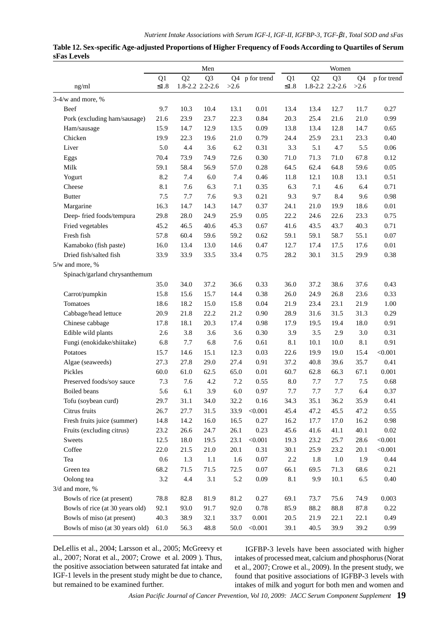|                                 | Men             |                |                                   |      |                |                 |                       |                |            |             |
|---------------------------------|-----------------|----------------|-----------------------------------|------|----------------|-----------------|-----------------------|----------------|------------|-------------|
| ng/ml                           | Q1<br>$\leq1.8$ | Q <sub>2</sub> | Q <sub>3</sub><br>1.8-2.2 2.2-2.6 | >2.6 | Q4 p for trend | Q1<br>$\leq1.8$ | Q2<br>1.8-2.2 2.2-2.6 | Q <sub>3</sub> | Q4<br>>2.6 | p for trend |
|                                 |                 |                |                                   |      |                |                 |                       |                |            |             |
| 3-4/w and more, %               |                 |                |                                   |      |                |                 |                       |                |            |             |
| Beef                            | 9.7             | 10.3           | 10.4                              | 13.1 | 0.01           | 13.4            | 13.4                  | 12.7           | 11.7       | 0.27        |
| Pork (excluding ham/sausage)    | 21.6            | 23.9           | 23.7                              | 22.3 | 0.84           | 20.3            | 25.4                  | 21.6           | 21.0       | 0.99        |
| Ham/sausage                     | 15.9            | 14.7           | 12.9                              | 13.5 | 0.09           | 13.8            | 13.4                  | 12.8           | 14.7       | 0.65        |
| Chicken                         | 19.9            | 22.3           | 19.6                              | 21.0 | 0.79           | 24.4            | 25.9                  | 23.1           | 23.3       | 0.40        |
| Liver                           | 5.0             | 4.4            | 3.6                               | 6.2  | 0.31           | 3.3             | 5.1                   | 4.7            | 5.5        | 0.06        |
| Eggs                            | 70.4            | 73.9           | 74.9                              | 72.6 | 0.30           | 71.0            | 71.3                  | 71.0           | 67.8       | 0.12        |
| Milk                            | 59.1            | 58.4           | 56.9                              | 57.0 | 0.28           | 64.5            | 62.4                  | 64.8           | 59.6       | 0.05        |
| Yogurt                          | 8.2             | 7.4            | 6.0                               | 7.4  | 0.46           | 11.8            | 12.1                  | 10.8           | 13.1       | 0.51        |
| Cheese                          | 8.1             | 7.6            | 6.3                               | 7.1  | 0.35           | 6.3             | 7.1                   | 4.6            | 6.4        | 0.71        |
| <b>Butter</b>                   | 7.5             | 7.7            | 7.6                               | 9.3  | 0.21           | 9.3             | 9.7                   | 8.4            | 9.6        | 0.98        |
| Margarine                       | 16.3            | 14.7           | 14.3                              | 14.7 | 0.37           | 24.1            | 21.0                  | 19.9           | 18.6       | $0.01\,$    |
| Deep-fried foods/tempura        | 29.8            | 28.0           | 24.9                              | 25.9 | 0.05           | 22.2            | 24.6                  | 22.6           | 23.3       | 0.75        |
| Fried vegetables                | 45.2            | 46.5           | 40.6                              | 45.3 | 0.67           | 41.6            | 43.5                  | 43.7           | 40.3       | 0.71        |
| Fresh fish                      | 57.8            | 60.4           | 59.6                              | 59.2 | 0.62           | 59.1            | 59.1                  | 58.7           | 55.1       | 0.07        |
| Kamaboko (fish paste)           | 16.0            | 13.4           | 13.0                              | 14.6 | 0.47           | 12.7            | 17.4                  | 17.5           | 17.6       | $0.01\,$    |
| Dried fish/salted fish          | 33.9            | 33.9           | 33.5                              | 33.4 | 0.75           | 28.2            | 30.1                  | 31.5           | 29.9       | 0.38        |
| 5/w and more, %                 |                 |                |                                   |      |                |                 |                       |                |            |             |
| Spinach/garland chrysanthemum   |                 |                |                                   |      |                |                 |                       |                |            |             |
|                                 | 35.0            | 34.0           | 37.2                              | 36.6 | 0.33           | 36.0            | 37.2                  | 38.6           | 37.6       | 0.43        |
| Carrot/pumpkin                  | 15.8            | 15.6           | 15.7                              | 14.4 | 0.38           | 26.0            | 24.9                  | 26.8           | 23.6       | 0.33        |
| Tomatoes                        | 18.6            | 18.2           | 15.0                              | 15.8 | 0.04           | 21.9            | 23.4                  | 23.1           | 21.9       | 1.00        |
| Cabbage/head lettuce            | 20.9            | 21.8           | 22.2                              | 21.2 | 0.90           | 28.9            | 31.6                  | 31.5           | 31.3       | 0.29        |
| Chinese cabbage                 | 17.8            | 18.1           | 20.3                              | 17.4 | 0.98           | 17.9            | 19.5                  | 19.4           | 18.0       | 0.91        |
| Edible wild plants              | 2.6             | 3.8            | 3.6                               | 3.6  | 0.30           | 3.9             | 3.5                   | 2.9            | 3.0        | 0.31        |
| Fungi (enokidake/shiitake)      | 6.8             | 7.7            | 6.8                               | 7.6  | 0.61           | 8.1             | 10.1                  | 10.0           | 8.1        | 0.91        |
| Potatoes                        | 15.7            | 14.6           | 15.1                              | 12.3 | 0.03           | 22.6            | 19.9                  | 19.0           | 15.4       | < 0.001     |
| Algae (seaweeds)                | 27.3            | 27.8           | 29.0                              | 27.4 | 0.91           | 37.2            | 40.8                  | 39.6           | 35.7       | 0.41        |
| Pickles                         | 60.0            | 61.0           | 62.5                              | 65.0 | $0.01\,$       | 60.7            | 62.8                  | 66.3           | 67.1       | 0.001       |
| Preserved foods/soy sauce       | 7.3             | 7.6            | 4.2                               | 7.2  | 0.55           | 8.0             | 7.7                   | 7.7            | 7.5        | 0.68        |
| <b>Boiled</b> beans             | 5.6             | 6.1            | 3.9                               | 6.0  | 0.97           | 7.7             | 7.7                   | 7.7            | 6.4        | 0.37        |
| Tofu (soybean curd)             | 29.7            | 31.1           | 34.0                              | 32.2 | 0.16           | 34.3            | 35.1                  | 36.2           | 35.9       | 0.41        |
| Citrus fruits                   | 26.7            | 27.7           | 31.5                              | 33.9 | < 0.001        | 45.4            | 47.2                  | 45.5           | 47.2       | 0.55        |
| Fresh fruits juice (summer)     | 14.8            | 14.2           | 16.0                              | 16.5 | 0.27           | 16.2            | 17.7                  | 17.0           | 16.2       | 0.98        |
| Fruits (excluding citrus)       | 23.2            | 26.6           | 24.7                              | 26.1 | 0.23           | 45.6            | 41.6                  | 41.1           | 40.1       | $0.02\,$    |
| Sweets                          | 12.5            | 18.0           | 19.5                              | 23.1 | < 0.001        | 19.3            | 23.2                  | 25.7           | 28.6       | < 0.001     |
| Coffee                          | 22.0            | 21.5           | 21.0                              | 20.1 | 0.31           | 30.1            | 25.9                  | 23.2           | 20.1       | < 0.001     |
| Tea                             | 0.6             | 1.3            | 1.1                               | 1.6  | $0.07\,$       | 2.2             | 1.8                   | 1.0            | 1.9        | 0.44        |
| Green tea                       | 68.2            | 71.5           | 71.5                              | 72.5 | 0.07           | 66.1            | 69.5                  | 71.3           | 68.6       | 0.21        |
| Oolong tea                      | $3.2\,$         | 4.4            | 3.1                               | 5.2  | 0.09           | 8.1             | 9.9                   | 10.1           | 6.5        | 0.40        |
| 3/d and more, %                 |                 |                |                                   |      |                |                 |                       |                |            |             |
| Bowls of rice (at present)      | 78.8            | 82.8           | 81.9                              | 81.2 | 0.27           | 69.1            | 73.7                  | 75.6           | 74.9       | 0.003       |
| Bowls of rice (at 30 years old) | 92.1            | 93.0           | 91.7                              | 92.0 | 0.78           | 85.9            | 88.2                  | 88.8           | 87.8       | 0.22        |
| Bowls of miso (at present)      | 40.3            | 38.9           | 32.1                              | 33.7 | 0.001          | 20.5            | 21.9                  | 22.1           | 22.1       | 0.49        |
| Bowls of miso (at 30 years old) | 61.0            | 56.3           | 48.8                              | 50.0 | < 0.001        | 39.1            | 40.5                  | 39.9           | 39.2       | 0.99        |
|                                 |                 |                |                                   |      |                |                 |                       |                |            |             |

| Table 12. Sex-specific Age-adjusted Proportions of Higher Frequency of Foods According to Quartiles of Serum |  |
|--------------------------------------------------------------------------------------------------------------|--|
| sFas Levels                                                                                                  |  |

DeLellis et al., 2004; Larsson et al., 2005; McGreevy et al., 2007; Norat et al., 2007; Crowe et al. 2009 ). Thus, the positive association between saturated fat intake and IGF-1 levels in the present study might be due to chance, but remained to be examined further.

IGFBP-3 levels have been associated with higher intakes of processed meat, calcium and phosphorus (Norat et al., 2007; Crowe et al., 2009). In the present study, we found that positive associations of IGFBP-3 levels with intakes of milk and yogurt for both men and women and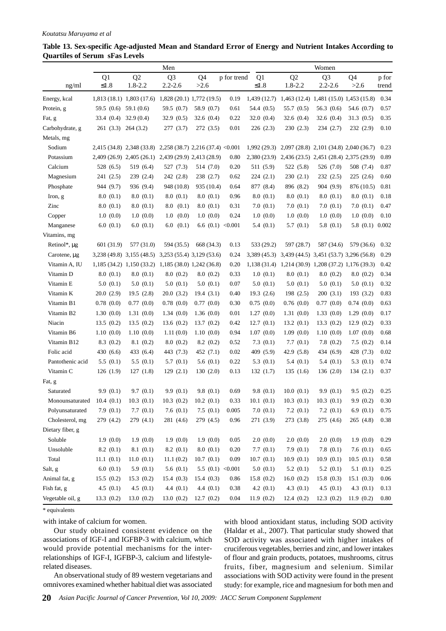|                   | Men                       |                                                     |                |                                       |             | Women       |                                                         |                |                                        |          |  |
|-------------------|---------------------------|-----------------------------------------------------|----------------|---------------------------------------|-------------|-------------|---------------------------------------------------------|----------------|----------------------------------------|----------|--|
|                   | Q1                        | Q <sub>2</sub>                                      | Q <sub>3</sub> | Q4                                    | p for trend | Q1          | Q2                                                      | Q <sub>3</sub> | Q4                                     | p for    |  |
| ng/ml             | $≤1.8$                    | $1.8 - 2.2$                                         | $2.2 - 2.6$    | >2.6                                  |             | $\leq1.8$   | $1.8 - 2.2$                                             | $2.2 - 2.6$    | >2.6                                   | trend    |  |
| Energy, kcal      |                           | $1,813(18.1)$ $1,803(17.6)$                         |                | 1,828 (20.1) 1,772 (19.5)             | 0.19        | 1,439(12.7) |                                                         |                | 1,463 (12.4) 1,481 (15.0) 1,453 (15.8) | 0.34     |  |
| Protein, g        | 59.5 $(0.6)$ 59.1 $(0.6)$ |                                                     | 59.5 (0.7)     | 58.9 (0.7)                            | 0.61        | 54.4 (0.5)  | 55.7 (0.5)                                              | 56.3(0.6)      | 54.6 (0.7)                             | 0.57     |  |
| Fat, g            | 33.4 (0.4)                | 32.9(0.4)                                           | 32.9(0.5)      | 32.6(0.4)                             | 0.22        | 32.0(0.4)   | 32.6(0.4)                                               | 32.6(0.4)      | 31.3(0.5)                              | 0.35     |  |
| Carbohydrate, g   | 261 (3.3)                 | 264(3.2)                                            | 277(3.7)       | 272 (3.5)                             | 0.01        | 226 (2.3)   | 230(2.3)                                                | 234 (2.7)      | 232 (2.9)                              | 0.10     |  |
| Metals, mg        |                           |                                                     |                |                                       |             |             |                                                         |                |                                        |          |  |
| Sodium            |                           | 2,415 (34.8) 2,348 (33.8)                           |                | $2,258$ (38.7) $2,216$ (37.4) < 0.001 |             | 1,992(29.3) |                                                         |                | 2,097 (28.8) 2,101 (34.8) 2,040 (36.7) | 0.23     |  |
| Potassium         |                           | $2,409(26.9)$ $2,405(26.1)$                         |                | 2,439 (29.9) 2,413 (28.9)             | 0.80        |             | 2,380 (23.9) 2,436 (23.5) 2,451 (28.4) 2,375 (29.9)     |                |                                        | 0.89     |  |
| Calcium           | 528 (6.5)                 | 519 (6.4)                                           | 527 (7.3)      | 514 (7.0)                             | 0.20        | 511 (5.9)   | 522 (5.8)                                               | 526 (7.0)      | 508 (7.4)                              | 0.87     |  |
| Magnesium         | 241 (2.5)                 | 239(2.4)                                            | 242 (2.8)      | 238 (2.7)                             | 0.62        | 224(2.1)    | 230(2.1)                                                | 232 (2.5)      | 225(2.6)                               | 0.60     |  |
| Phosphate         | 944 (9.7)                 | 936 (9.4)                                           | 948 (10.8)     | 935 (10.4)                            | 0.64        | 877 (8.4)   | 896 (8.2)                                               | 904 (9.9)      | 876 (10.5)                             | 0.81     |  |
| Iron, g           | 8.0(0.1)                  | 8.0(0.1)                                            | 8.0(0.1)       | 8.0(0.1)                              | 0.96        | 8.0(0.1)    | 8.0(0.1)                                                | 8.0(0.1)       | 8.0(0.1)                               | 0.18     |  |
| Zinc              | 8.0(0.1)                  | 8.0(0.1)                                            | 8.0<br>(0.1)   | 8.0(0.1)                              | 0.31        | 7.0(0.1)    | 7.0(0.1)                                                | 7.0(0.1)       | 7.0(0.1)                               | 0.47     |  |
| Copper            | 1.0(0.0)                  | 1.0(0.0)                                            | 1.0<br>(0.0)   | 1.0(0.0)                              | 0.24        | 1.0(0.0)    | 1.0(0.0)                                                | 1.0(0.0)       | 1.0(0.0)                               | 0.10     |  |
| Manganese         | 6.0(0.1)                  | 6.0(0.1)                                            | 6.0<br>(0.1)   | 6.6 $(0.1)$ <0.001                    |             | 5.4 $(0.1)$ | 5.7(0.1)                                                | 5.8(0.1)       | 5.8 (0.1) 0.002                        |          |  |
| Vitamins, mg      |                           |                                                     |                |                                       |             |             |                                                         |                |                                        |          |  |
| Retinol*, $\mu$ g | 601 (31.9)                | 577 (31.0)                                          | 594 (35.5)     | 668 (34.3)                            | 0.13        | 533 (29.2)  | 597 (28.7)                                              | 587 (34.6)     | 579 (36.6)                             | 0.32     |  |
| Carotene, $\mu$ g |                           | 3,238 (49.8) 3,155 (48.5)                           |                | 3,253 (55.4) 3,129 (53.6)             | 0.24        | 3,389(45.3) |                                                         |                | 3,439 (44.5) 3,451 (53.7) 3,296 (56.8) | 0.29     |  |
| Vitamin A, IU     |                           | 1,185 (34.2) 1,150 (33.2) 1,185 (38.0) 1,242 (36.8) |                |                                       | 0.20        |             | $1,138(31.4)$ $1,214(30.9)$ $1,208(37.2)$ $1,176(39.3)$ |                |                                        | 0.42     |  |
| Vitamin D         | 8.0(0.1)                  | 8.0(0.1)                                            | 8.0(0.2)       | 8.0(0.2)                              | 0.33        | 1.0(0.1)    | 8.0(0.1)                                                | 8.0(0.2)       | 8.0(0.2)                               | 0.34     |  |
| Vitamin E         | 5.0(0.1)                  | 5.0(0.1)                                            | 5.0(0.1)       | 5.0(0.1)                              | 0.07        | 5.0(0.1)    | 5.0(0.1)                                                | 5.0(0.1)       | 5.0(0.1)                               | 0.32     |  |
| Vitamin K         | 20.0(2.9)                 | 19.5(2.8)                                           | 20.0(3.2)      | 19.4(3.1)                             | 0.40        | 19.3(2.6)   | 198 (2.5)                                               | 200(3.1)       | 193 (3.2)                              | 0.83     |  |
| Vitamin B1        | 0.78(0.0)                 | 0.77(0.0)                                           | 0.78(0.0)      | 0.77(0.0)                             | 0.30        | 0.75(0.0)   | 0.76(0.0)                                               | 0.77(0.0)      | 0.74(0.0)                              | 0.63     |  |
| Vitamin B2        | 1.30(0.0)                 | 1.31(0.0)                                           | 1.34(0.0)      | 1.36(0.0)                             | 0.01        | 1.27(0.0)   | 1.31(0.0)                                               | 1.33(0.0)      | 1.29(0.0)                              | 0.17     |  |
| Niacin            | 13.5(0.2)                 | 13.5(0.2)                                           | 13.6(0.2)      | 13.7(0.2)                             | 0.42        | 12.7(0.1)   | 13.2(0.1)                                               | 13.3(0.2)      | 12.9(0.2)                              | 0.33     |  |
| Vitamin B6        | 1.10(0.0)                 | 1.10(0.0)                                           | 1.11(0.0)      | 1.10(0.0)                             | 0.94        | 1.07(0.0)   | 1.09(0.0)                                               | 1.10(0.0)      | 1.07(0.0)                              | 0.68     |  |
| Vitamin B12       | 8.3(0.2)                  | 8.1(0.2)                                            | 8.0(0.2)       | 8.2(0.2)                              | 0.52        | 7.3(0.1)    | 7.7(0.1)                                                | 7.8(0.2)       | 7.5(0.2)                               | 0.14     |  |
| Folic acid        | 430 (6.6)                 | 433 (6.4)                                           | 443 (7.3)      | 452 (7.1)                             | 0.02        | 409 (5.9)   | 42.9 (5.8)                                              | 434 (6.9)      | 428 (7.3)                              | 0.02     |  |
| Pantothenic acid  | 5.5(0.1)                  | 5.5(0.1)                                            | 5.7(0.1)       | 5.6(0.1)                              | 0.22        | 5.3(0.1)    | 5.4(0.1)                                                | 5.4(0.1)       | 5.3 $(0.1)$                            | 0.74     |  |
| Vitamin C         | 126(1.9)                  | 127(1.8)                                            | 129(2.1)       | 130(2.0)                              | 0.13        | 132(1.7)    | 135(1.6)                                                | 136(2.0)       | 134(2.1)                               | 0.37     |  |
| Fat, g            |                           |                                                     |                |                                       |             |             |                                                         |                |                                        |          |  |
| Saturated         | 9.9(0.1)                  | 9.7(0.1)                                            | 9.9(0.1)       | 9.8(0.1)                              | 0.69        | 9.8(0.1)    | 10.0(0.1)                                               | 9.9(0.1)       | 9.5(0.2)                               | 0.25     |  |
| Monounsaturated   | 10.4(0.1)                 | 10.3(0.1)                                           | 10.3(0.2)      | 10.2(0.1)                             | 0.33        | 10.1(0.1)   | 10.3(0.1)                                               | 10.3(0.1)      | 9.9(0.2)                               | $0.30\,$ |  |
| Polyunsaturated   | 7.9(0.1)                  | 7.7(0.1)                                            | 7.6 $(0.1)$    | 7.5(0.1)                              | 0.005       | 7.0(0.1)    | 7.2(0.1)                                                | 7.2(0.1)       | 6.9(0.1)                               | 0.75     |  |
| Cholesterol, mg   | 279 (4.2)                 | 279 (4.1)                                           | 281 (4.6)      | 279 (4.5)                             | 0.96        | 271 (3.9)   | 273 (3.8)                                               | 275 (4.6)      | 265(4.8)                               | 0.38     |  |
| Dietary fiber, g  |                           |                                                     |                |                                       |             |             |                                                         |                |                                        |          |  |
| Soluble           | 1.9(0.0)                  | 1.9(0.0)                                            | 1.9(0.0)       | 1.9(0.0)                              | $0.05\,$    | 2.0(0.0)    | 2.0(0.0)                                                | 2.0(0.0)       | 1.9(0.0)                               | 0.29     |  |
| Unsoluble         | 8.2(0.1)                  | 8.1(0.1)                                            | 8.2(0.1)       | 8.0(0.1)                              | 0.20        | 7.7(0.1)    | 7.9(0.1)                                                | 7.8(0.1)       | 7.6(0.1)                               | 0.65     |  |
| Total             | 11.1(0.1)                 | 11.0(0.1)                                           | 11.1(0.2)      | 10.7(0.1)                             | 0.09        | 10.7(0.1)   | 10.9(0.1)                                               | 10.9(0.1)      | 10.5(0.1)                              | 0.58     |  |
| Salt, g           | 6.0(0.1)                  | 5.9(0.1)                                            | 5.6(0.1)       | 5.5 $(0.1)$ <0.001                    |             | 5.0(0.1)    | 5.2(0.1)                                                | 5.2(0.1)       | 5.1(0.1)                               | 0.25     |  |
| Animal fat, g     | 15.5(0.2)                 | 15.3(0.2)                                           | 15.4(0.3)      | 15.4(0.3)                             | 0.86        | 15.8(0.2)   | 16.0(0.2)                                               | 15.8(0.3)      | 15.1(0.3)                              | 0.06     |  |
| Fish fat, g       | 4.5(0.1)                  | 4.5 $(0.1)$                                         | 4.4 $(0.1)$    | 4.4 $(0.1)$                           | 0.38        | 4.2 $(0.1)$ | 4.3(0.1)                                                | 4.5 $(0.1)$    | 4.3 $(0.1)$                            | 0.13     |  |
| Vegetable oil, g  | 13.3 (0.2)                | 13.0(0.2)                                           | 13.0(0.2)      | 12.7(0.2)                             | $0.04\,$    | 11.9(0.2)   | 12.4(0.2)                                               | 12.3(0.2)      | 11.9(0.2)                              | $0.80\,$ |  |
|                   |                           |                                                     |                |                                       |             |             |                                                         |                |                                        |          |  |

## **Table 13. Sex-specific Age-adjusted Mean and Standard Error of Energy and Nutrient Intakes According to Quartiles of Serum sFas Levels**

\* equivalents

with intake of calcium for women.

Our study obtained consistent evidence on the associations of IGF-I and IGFBP-3 with calcium, which would provide potential mechanisms for the interrelationships of IGF-I, IGFBP-3, calcium and lifestylerelated diseases.

An observational study of 89 western vegetarians and omnivores examined whether habitual diet was associated

with blood antioxidant status, including SOD activity (Haldar et al., 2007). That particular study showed that SOD activity was associated with higher intakes of cruciferous vegetables, berries and zinc, and lower intakes of flour and grain products, potatoes, mushrooms, citrus fruits, fiber, magnesium and selenium. Similar associations with SOD activity were found in the present study: for example, rice and magnesium for both men and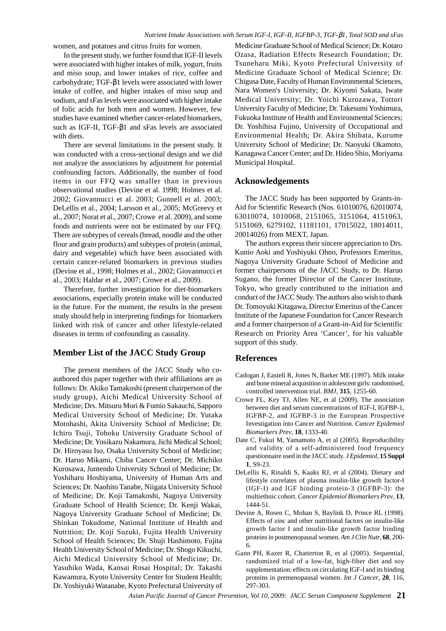women, and potatoes and citrus fruits for women.

In the present study, we further found that IGF-II levels were associated with higher intakes of milk, yogurt, fruits and miso soup, and lower intakes of rice, coffee and carbohydrate; TGF-β1 levels were associated with lower intake of coffee, and higher intakes of miso soup and sodium, and sFas levels were associated with higher intake of folic acids for both men and women. However, few studies have examined whether cancer-related biomarkers, such as IGF-II, TGF-β1 and sFas levels are associated with diets.

There are several limitations in the present study. It was conducted with a cross-sectional design and we did not analyze the associations by adjustment for potential confounding factors. Additionally, the number of food items in our FFQ was smaller than in previous observational studies (Devine et al. 1998; Holmes et al. 2002; Giovannucci et al. 2003; Gunnell et al. 2003; DeLellis et al., 2004; Larsson et al., 2005; McGreevy et al., 2007; Norat et al., 2007; Crowe et al. 2009), and some foods and nutrients were not be estimated by our FFQ. There are subtypes of cereals (bread, noodle and the other flour and grain products) and subtypes of protein (animal, dairy and vegetable) which have been associated with certain cancer-related biomarkers in previous studies (Devine et al., 1998; Holmes et al., 2002; Giovannucci et al., 2003; Haldar et al., 2007; Crowe et al., 2009).

Therefore, further investigation for diet-biomarkers associations, especially protein intake will be conducted in the future. For the moment, the results in the present study should help in interpreting findings for biomarkers linked with risk of cancer and other lifestyle-related diseases in terms of confounding as causality.

## **Member List of the JACC Study Group**

The present members of the JACC Study who coauthored this paper together with their affiliations are as follows: Dr. Akiko Tamakoshi (present chairperson of the study group), Aichi Medical University School of Medicine; Drs. Mitsuru Mori & Fumio Sakauchi, Sapporo Medical University School of Medicine; Dr. Yutaka Motohashi, Akita University School of Medicine; Dr. Ichiro Tsuji, Tohoku University Graduate School of Medicine; Dr. Yosikazu Nakamura, Jichi Medical School; Dr. Hiroyasu Iso, Osaka University School of Medicine; Dr. Haruo Mikami, Chiba Cancer Center; Dr. Michiko Kurosawa, Juntendo University School of Medicine; Dr. Yoshiharu Hoshiyama, University of Human Arts and Sciences; Dr. Naohito Tanabe, Niigata University School of Medicine; Dr. Koji Tamakoshi, Nagoya University Graduate School of Health Science; Dr. Kenji Wakai, Nagoya University Graduate School of Medicine; Dr. Shinkan Tokudome, National Institute of Health and Nutrition; Dr. Koji Suzuki, Fujita Health University School of Health Sciences; Dr. Shuji Hashimoto, Fujita Health University School of Medicine; Dr. Shogo Kikuchi, Aichi Medical University School of Medicine; Dr. Yasuhiko Wada, Kansai Rosai Hospital; Dr. Takashi Kawamura, Kyoto University Center for Student Health; Dr. Yoshiyuki Watanabe, Kyoto Prefectural University of

Medicine Graduate School of Medical Science; Dr. Kotaro Ozasa, Radiation Effects Research Foundation; Dr. Tsuneharu Miki, Kyoto Prefectural University of Medicine Graduate School of Medical Science; Dr. Chigusa Date, Faculty of Human Environmental Sciences, Nara Women's University; Dr. Kiyomi Sakata, Iwate Medical University; Dr. Yoichi Kurozawa, Tottori University Faculty of Medicine; Dr. Takesumi Yoshimura, Fukuoka Institute of Health and Environmental Sciences; Dr. Yoshihisa Fujino, University of Occupational and Environmental Health; Dr. Akira Shibata, Kurume University School of Medicine; Dr. Naoyuki Okamoto, Kanagawa Cancer Center; and Dr. Hideo Shio, Moriyama Municipal Hospital.

#### **Acknowledgements**

The JACC Study has been supported by Grants-in-Aid for Scientific Research (Nos. 61010076, 62010074, 63010074, 1010068, 2151065, 3151064, 4151063, 5151069, 6279102, 11181101, 17015022, 18014011, 20014026) from MEXT, Japan.

The authors express their sincere appreciation to Drs. Kunio Aoki and Yoshiyuki Ohno, Professors Emeritus, Nagoya University Graduate School of Medicine and former chairpersons of the JACC Study, to Dr. Haruo Sugano, the former Director of the Cancer Institute, Tokyo, who greatly contributed to the initiation and conduct of the JACC Study. The authors also wish to thank Dr. Tomoyuki Kitagawa, Director Emeritus of the Cancer Institute of the Japanese Foundation for Cancer Research and a former chairperson of a Grant-in-Aid for Scientific Research on Priority Area 'Cancer', for his valuable support of this study.

#### **References**

- Cadogan J, Eastell R, Jones N, Barker ME (1997). Milk intake and bone mineral acquisition in adolescent girls: randomised, controlled intervention trial. *BMJ*, **315**, 1255-60.
- Crowe FL, Key TJ, Allen NE, et al (2009). The association between diet and serum concentrations of IGF-I, IGFBP-1, IGFBP-2, and IGFBP-3 in the European Prospective Investigation into Cancer and Nutrition. *Cancer Epidemiol Biomarkers Prev*, **18**, 1333-40.
- Date C, Fukui M, Yamamoto A, et al (2005). Reproducibility and validity of a self-administered food frequency questionnaire used in the JACC study. *J Epidemiol*, **15 Suppl 1**, S9-23.
- DeLellis K, Rinaldi S, Kaaks RJ, et al (2004). Dietary and lifestyle correlates of plasma insulin-like growth factor-I (IGF-I) and IGF binding protein-3 (IGFBP-3): the multiethnic cohort. *Cancer Epidemiol Biomarkers Prev*, **13**, 1444-51.
- Devine A, Rosen C, Mohan S, Baylink D, Prince RL (1998). Effects of zinc and other nutritional factors on insulin-like growth factor I and insulin-like growth factor binding proteins in postmenopausal women. *Am J Clin Nutr*, **68**, 200- 6.
- Gann PH, Kazer R, Chatterton R, et al (2005). Sequential, randomized trial of a low-fat, high-fiber diet and soy supplementation: effects on circulating IGF-I and its binding proteins in premenopausal women. *Int J Cancer*, **20**, 116, 297-303.